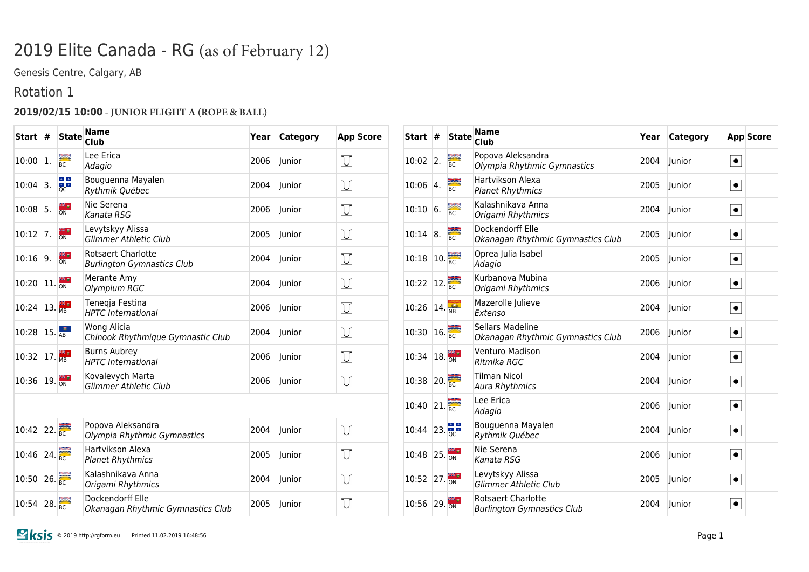# 2019 Elite Canada - RG (as of February 12)

Genesis Centre, Calgary, AB

### Rotation 1

#### **2019/02/15 10:00 - JUNIOR FLIGHT A (ROPE & BALL)**

| <b>Start</b> | #  | <b>State</b>                                                                                                                                                                                                                                                                                                        | <b>Name</b><br>Club                                            | Year | Category | <b>App Score</b> |
|--------------|----|---------------------------------------------------------------------------------------------------------------------------------------------------------------------------------------------------------------------------------------------------------------------------------------------------------------------|----------------------------------------------------------------|------|----------|------------------|
| 10:00        | 1. | $rac{1}{BC}$                                                                                                                                                                                                                                                                                                        | Lee Erica<br>Adagio                                            | 2006 | Junior   | $\overline{U}$   |
| 10:04        | 3. | 4.14<br>$rac{1}{\sqrt{C}}$                                                                                                                                                                                                                                                                                          | Bouguenna Mayalen<br>Rythmik Québec                            | 2004 | Junior   | $\bigcup$        |
| 10:08        | 5. | $\frac{1}{2}$ and $\frac{1}{2}$                                                                                                                                                                                                                                                                                     | Nie Serena<br>Kanata RSG                                       | 2006 | Junior   | $\overline{U}$   |
| 10:12        | 7. | $\frac{1}{2}$ $\frac{1}{2}$ $\frac{1}{2}$ $\frac{1}{2}$ $\frac{1}{2}$ $\frac{1}{2}$ $\frac{1}{2}$ $\frac{1}{2}$ $\frac{1}{2}$ $\frac{1}{2}$ $\frac{1}{2}$ $\frac{1}{2}$ $\frac{1}{2}$ $\frac{1}{2}$ $\frac{1}{2}$ $\frac{1}{2}$ $\frac{1}{2}$ $\frac{1}{2}$ $\frac{1}{2}$ $\frac{1}{2}$ $\frac{1}{2}$ $\frac{1}{2}$ | Levytskyy Alissa<br>Glimmer Athletic Club                      | 2005 | Junior   | $\bigcup$        |
| 10:16        | 9. | $\frac{1}{2}$ $\frac{1}{2}$ $\frac{1}{2}$ $\frac{1}{2}$ $\frac{1}{2}$ $\frac{1}{2}$ $\frac{1}{2}$ $\frac{1}{2}$ $\frac{1}{2}$ $\frac{1}{2}$ $\frac{1}{2}$ $\frac{1}{2}$ $\frac{1}{2}$ $\frac{1}{2}$ $\frac{1}{2}$ $\frac{1}{2}$ $\frac{1}{2}$ $\frac{1}{2}$ $\frac{1}{2}$ $\frac{1}{2}$ $\frac{1}{2}$ $\frac{1}{2}$ | <b>Rotsaert Charlotte</b><br><b>Burlington Gymnastics Club</b> | 2004 | Junior   | $\bigcup$        |
| 10:20        |    | $11.\overline{on}$                                                                                                                                                                                                                                                                                                  | Merante Amy<br>Olympium RGC                                    | 2004 | Junior   | $\overline{U}$   |
| 10:24        |    | 13. $\frac{25}{MB}$                                                                                                                                                                                                                                                                                                 | Tenegja Festina<br><b>HPTC</b> International                   | 2006 | Junior   | $\overline{U}$   |
| 10:28        |    | 15. $\frac{3}{AB}$                                                                                                                                                                                                                                                                                                  | Wong Alicia<br>Chinook Rhythmique Gymnastic Club               | 2004 | Junior   | $\bigcup$        |
| 10:32        |    | 17. $\frac{25}{MB}$                                                                                                                                                                                                                                                                                                 | <b>Burns Aubrey</b><br><b>HPTC</b> International               | 2006 | Junior   | $\overline{U}$   |
| 10:36        |    | $19.5^{\frac{212}{10}}$                                                                                                                                                                                                                                                                                             | Kovalevych Marta<br>Glimmer Athletic Club                      | 2006 | Junior   | $\bigcup$        |
|              |    |                                                                                                                                                                                                                                                                                                                     |                                                                |      |          |                  |
| 10:42        |    | 22.5c                                                                                                                                                                                                                                                                                                               | Popova Aleksandra<br>Olympia Rhythmic Gymnastics               | 2004 | Junior   | $\overline{U}$   |
| 10:46        |    | 24.7                                                                                                                                                                                                                                                                                                                | Hartvikson Alexa<br><b>Planet Rhythmics</b>                    | 2005 | Junior   | $\bigcup$        |
| 10:50        |    | $26.$ BC                                                                                                                                                                                                                                                                                                            | Kalashnikava Anna<br>Origami Rhythmics                         | 2004 | Junior   | $\bigcup$        |
| 10:54        |    | 28.5c                                                                                                                                                                                                                                                                                                               | Dockendorff Elle<br>Okanagan Rhythmic Gymnastics Club          | 2005 | Junior   | $\bigcup$        |

| Start | #  | <b>State</b>           | <b>Name</b><br>Club                                            | Year | Category | <b>App Score</b> |
|-------|----|------------------------|----------------------------------------------------------------|------|----------|------------------|
| 10:02 | 2. | $rac{1}{BC}$           | Popova Aleksandra<br>Olympia Rhythmic Gymnastics               | 2004 | Junior   | $\bullet$        |
| 10:06 | 4. | BC<br>BC               | Hartvikson Alexa<br><b>Planet Rhythmics</b>                    | 2005 | Junior   | $\bullet$        |
| 10:10 | 6. | BC <sub>3</sub>        | Kalashnikava Anna<br>Origami Rhythmics                         | 2004 | Junior   | $\bullet$        |
| 10:14 | 8. | BC<br>BC               | Dockendorff Elle<br>Okanagan Rhythmic Gymnastics Club          | 2005 | Junior   | $\bullet$        |
| 10:18 |    | 10.5                   | Oprea Julia Isabel<br>Adagio                                   | 2005 | Junior   | $\bullet$        |
| 10:22 |    | 12.56                  | Kurbanova Mubina<br>Origami Rhythmics                          | 2006 | Junior   | $\bullet$        |
| 10:26 |    | $14. \frac{12}{NB}$    | Mazerolle Julieve<br>Extenso                                   | 2004 | Junior   | $\bullet$        |
| 10:30 |    | 16.                    | Sellars Madeline<br>Okanagan Rhythmic Gymnastics Club          | 2006 | Junior   | $\bullet$        |
| 10:34 |    | 18. $\frac{18.54}{20}$ | Venturo Madison<br>Ritmika RGC                                 | 2004 | Junior   | $\bullet$        |
| 10:38 |    | 20.5c                  | <b>Tilman Nicol</b><br><b>Aura Rhythmics</b>                   | 2004 | Junior   | $\bullet$        |
| 10:40 |    | 21.5c                  | Lee Erica<br>Adagio                                            | 2006 | Junior   | $\bullet$        |
| 10:44 |    | 23.                    | Bouguenna Mayalen<br>Rythmik Québec                            | 2004 | Junior   | $\bullet$        |
| 10:48 |    | 25. $\frac{125}{20}$   | Nie Serena<br>Kanata RSG                                       | 2006 | Junior   | $\bullet$        |
| 10:52 |    | 27. $\frac{27}{50}$    | Levytskyy Alissa<br><b>Glimmer Athletic Club</b>               | 2005 | Junior   | $\bullet$        |
| 10:56 |    | 29. $\frac{125}{20}$   | <b>Rotsaert Charlotte</b><br><b>Burlington Gymnastics Club</b> | 2004 | Junior   | $\bullet$        |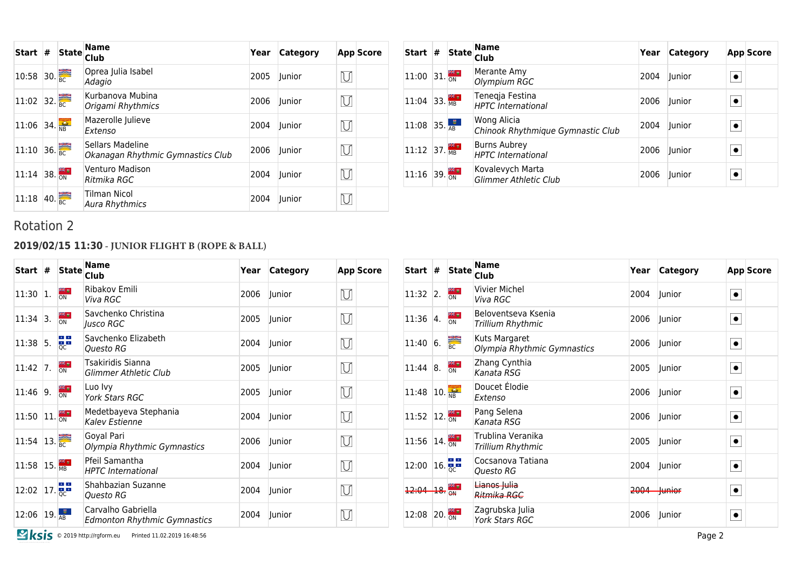| <b>Start</b> | #   | <b>State</b>       | <b>Name</b><br><b>Club</b>                            | Year | <b>Category</b> |                     | <b>App Score</b> |
|--------------|-----|--------------------|-------------------------------------------------------|------|-----------------|---------------------|------------------|
| 10:58        |     | 30.5               | Oprea Julia Isabel<br>Adagio                          | 2005 | <b>Junior</b>   | $\mathop{\text{U}}$ |                  |
| 11:02        |     | 32.                | Kurbanova Mubina<br>Origami Rhythmics                 | 2006 | Junior          | $\mathbb U$         |                  |
| 11:06        |     | $34. \frac{C}{NB}$ | Mazerolle Julieve<br>Extenso                          | 2004 | <b>Junior</b>   | U                   |                  |
| 11:10        |     | 36.                | Sellars Madeline<br>Okanagan Rhythmic Gymnastics Club | 2006 | <b>Junior</b>   | U                   |                  |
| 11:14        |     | 38.6               | Venturo Madison<br>Ritmika RGC                        | 2004 | <b>Junior</b>   | U                   |                  |
| 11:18        | 40. | $rac{1}{BC}$       | Tilman Nicol<br>Aura Rhythmics                        | 2004 | Junior          | Ul                  |                  |

| Start $#$                 | <b>State</b>       | <b>Name</b><br><b>Club</b>                       | Year | Category      |           | <b>App Score</b> |
|---------------------------|--------------------|--------------------------------------------------|------|---------------|-----------|------------------|
| 11:00                     | 31.5               | Merante Amy<br>Olympium RGC                      | 2004 | Junior        | $\bullet$ |                  |
| 11:04                     | 33. MB             | Tenegja Festina<br><b>HPTC</b> International     | 2006 | <b>Junior</b> | $\bullet$ |                  |
| 11:08                     | 35. $\frac{1}{AB}$ | Wong Alicia<br>Chinook Rhythmique Gymnastic Club | 2004 | <b>Junior</b> | $\bullet$ |                  |
| 11:12 37. $\frac{12}{MB}$ |                    | <b>Burns Aubrey</b><br><b>HPTC</b> International | 2006 | <b>Junior</b> | $\bullet$ |                  |
| 11:16 39.                 |                    | Kovalevych Marta<br><b>Glimmer Athletic Club</b> | 2006 | <b>Junior</b> | $\bullet$ |                  |

#### **2019/02/15 11:30 - JUNIOR FLIGHT B (ROPE & BALL)**

| Start | #           | <b>State</b>                | <b>Name</b><br>Club                                       | Year | Category       | <b>App Score</b>  |
|-------|-------------|-----------------------------|-----------------------------------------------------------|------|----------------|-------------------|
| 11:30 | 1.          | $\frac{1}{2}$ $\frac{1}{2}$ | Ribakov Emili<br>Viva RGC                                 | 2006 | Junior         | $\overline{U}$    |
| 11:34 | Β.          | $\frac{200}{200}$           | Savchenko Christina<br>Jusco RGC                          | 2005 | <b>Junior</b>  | $\overline{U}$    |
| 11:38 | 5.          | $+$ $+$<br>4.14<br>OC       | Savchenko Elizabeth<br>Questo RG                          | 2004 | Junior         | $\bigcup$         |
| 11:42 | 7.          | $\frac{2\pi}{2}$ w          | Tsakiridis Sianna<br>Glimmer Athletic Club                | 2005 | Junior         | $\overline{U}$    |
| 11:46 | 9.          | $\frac{200}{100}$           | Luo Ivy<br><b>York Stars RGC</b>                          | 2005 | <b>Junior</b>  | $\overline{U}$    |
| 11:50 |             | $11.\overline{on}$          | Medetbayeva Stephania<br>Kalev Estienne                   | 2004 | Junior         | $\overline{U}$    |
| 11:54 |             | 13.5c                       | Goyal Pari<br>Olympia Rhythmic Gymnastics                 | 2006 | Junior         | $\overline{U}$    |
| 11:58 |             | $15.$ MB                    | Pfeil Samantha<br><b>HPTC</b> International               | 2004 | <b>Ilunior</b> | $\overline{U}$    |
| 12:02 | 17.         | $\frac{1}{\sqrt{2}}$        | Shahbazian Suzanne<br>Questo RG                           | 2004 | Junior         | $\overline{U}$    |
| 12:06 | 19. $_{AB}$ |                             | Carvalho Gabriella<br><b>Edmonton Rhythmic Gymnastics</b> | 2004 | Junior         | $\overline{\cup}$ |

| Start | #     | <b>State</b>               | <b>Name</b><br><b>Club</b>                        | Year | Category          |           | <b>App Score</b> |
|-------|-------|----------------------------|---------------------------------------------------|------|-------------------|-----------|------------------|
| 11:32 | 2.    | $\frac{2\pi}{\pi}$         | Vivier Michel<br>Viva RGC                         | 2004 | <b>Junior</b>     | $\bullet$ |                  |
| 11:36 | 4.    | $\frac{2\pi}{2}$           | Beloventseva Ksenia<br>Trillium Rhythmic          | 2006 | <b>Junior</b>     | $\bullet$ |                  |
| 11:40 | 6.    | $rac{1}{BC}$               | Kuts Margaret<br>Olympia Rhythmic Gymnastics      | 2006 | <b>Junior</b>     | $\bullet$ |                  |
| 11:44 | 8.    | a≋ ∜<br>$\overline{ON}$    | Zhang Cynthia<br>Kanata RSG                       | 2005 | <b>Junior</b>     | $\bullet$ |                  |
| 11:48 |       | 10.16                      | Doucet Élodie<br>Extenso                          | 2006 | <b>Junior</b>     | $\bullet$ |                  |
| 11:52 |       | 12. $\frac{25}{5}$         | Pang Selena<br>Kanata RSG                         | 2006 | Junior            | $\bullet$ |                  |
| 11:56 |       | 14. $\frac{25}{5}$         | Trublina Veranika<br>Trillium Rhythmic            | 2005 | Junior            | $\bullet$ |                  |
| 12:00 | 16.   | 4.14<br>$rac{1}{\sqrt{C}}$ | Cocsanova Tatiana<br>Questo RG                    | 2004 | Junior            | $\bullet$ |                  |
| 12:04 | $-18$ | .≍ у                       | <del>Lianos Julia</del><br><del>Ritmika RGC</del> | 2004 | <del>Junior</del> | $\bullet$ |                  |
| 12:08 |       | 20. $\frac{125}{20}$       | Zagrubska Julia<br>York Stars RGC                 | 2006 | Junior            | $\bullet$ |                  |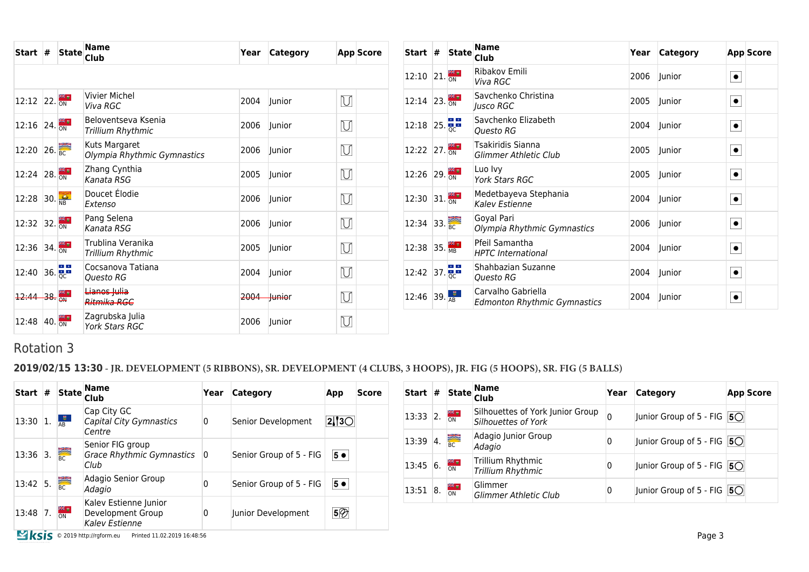| Start #                           |                   | <b>State</b> | Name<br>Club                                    | Year | Category      |           | <b>App</b> Score | Start #     | <b>State</b> | <b>Name</b><br><b>Club</b>                                | Year | Category      | <b>App</b> Score     |  |
|-----------------------------------|-------------------|--------------|-------------------------------------------------|------|---------------|-----------|------------------|-------------|--------------|-----------------------------------------------------------|------|---------------|----------------------|--|
|                                   |                   |              |                                                 |      |               |           |                  | 12:10 21.   |              | Ribakov Emili<br>Viva RGC                                 | 2006 | Junior        | $\bullet$            |  |
| 12:12 22.                         |                   |              | <b>Vivier Michel</b><br>Viva RGC                | 2004 | Junior        | $\cup$    |                  | $12:14$ 23. |              | Savchenko Christina<br>Jusco RGC                          | 2005 | <b>Junior</b> | $\boxed{\bullet}$    |  |
| 12:16 24.                         |                   |              | Beloventseva Ksenia<br><b>Trillium Rhythmic</b> | 2006 | Junior        | $\bigcup$ |                  | $12:18$ 25. |              | Savchenko Elizabeth<br>Questo RG                          | 2004 | <b>Junior</b> | $\bullet$            |  |
| 12:20 26.                         |                   |              | Kuts Margaret<br>Olympia Rhythmic Gymnastics    | 2006 | lunior        | $\bigcup$ |                  | 12:22 27.   |              | Tsakiridis Sianna<br><b>Glimmer Athletic Club</b>         | 2005 | Junior        | $\bullet$            |  |
| 12:24                             | 28. $\frac{1}{5}$ |              | Zhang Cynthia<br>Kanata RSG                     | 2005 | Junior        | $\bigcup$ |                  | 12:26 29.   |              | Luo Ivy<br><b>York Stars RGC</b>                          | 2005 | Junior        | $\bullet$            |  |
| $12:28$ 30.                       |                   |              | Doucet Élodie<br>Extenso                        | 2006 | Junior        | $\bigcup$ |                  | 12:30 31.   |              | Medetbayeva Stephania<br><b>Kalev Estienne</b>            | 2004 | Junior        | $\bullet$            |  |
| 12:32 32.                         |                   |              | Pang Selena<br>Kanata RSG                       | 2006 | <b>Junior</b> | $\bigcup$ |                  | $12:34$ 33. |              | Goyal Pari<br>Olympia Rhythmic Gymnastics                 | 2006 | Junior        | $\bullet$            |  |
| 12:36 34.                         |                   |              | Trublina Veranika<br>Trillium Rhythmic          | 2005 | Junior        | $\cup$    |                  | 12:38 35.   |              | Pfeil Samantha<br><b>HPTC</b> International               | 2004 | Junior        | $\overline{\bullet}$ |  |
| $12:40$ 36. $\frac{1}{\text{OC}}$ |                   | $4 - 4$      | Cocsanova Tatiana<br>Questo RG                  | 2004 | Junior        | $\bigcup$ |                  | 12:42 37.   | 4.14         | Shahbazian Suzanne<br>Questo RG                           | 2004 | Junior        | $\bullet$            |  |
| $12:44 - 38.$ $\frac{25}{9N}$     |                   |              | Lianos Julia<br>Ritmika RGC                     |      | $2004$ Junior | $\cup$    |                  | 12:46 39.   |              | Carvalho Gabriella<br><b>Edmonton Rhythmic Gymnastics</b> | 2004 | Junior        | $\bullet$            |  |
| 12:48                             | 40. $\frac{1}{5}$ |              | Zagrubska Julia<br>York Stars RGC               | 2006 | <b>Junior</b> | $\bigcup$ |                  |             |              |                                                           |      |               |                      |  |

**2019/02/15 13:30 - JR. DEVELOPMENT (5 RIBBONS), SR. DEVELOPMENT (4 CLUBS, 3 HOOPS), JR. FIG (5 HOOPS), SR. FIG (5 BALLS)**

| Start #                                                                                                                                            | <b>State</b>                | <b>Name</b><br><b>Club</b>                                   | Year   Category           | App            | <b>Score</b> | Start #                 |      | Name<br>$+$ $\vert$ State $\vert$ Club                  | Year           | Category                                | App |
|----------------------------------------------------------------------------------------------------------------------------------------------------|-----------------------------|--------------------------------------------------------------|---------------------------|----------------|--------------|-------------------------|------|---------------------------------------------------------|----------------|-----------------------------------------|-----|
|                                                                                                                                                    | $\frac{1}{\Delta R}$        | Cap City GC<br>Capital City Gymnastics                       | Senior Development        | 2 30           |              | 13:33 2. $\frac{12}{5}$ |      | Silhouettes of York Junior Group<br>Silhouettes of York | $\overline{0}$ | Junior Group of 5 - FIG $\overline{50}$ |     |
|                                                                                                                                                    |                             | Senior FIG group                                             |                           |                |              | 13:39 4.                |      | Adagio Junior Group<br>Adagio                           |                | Junior Group of 5 - FIG $\vert$ 50      |     |
|                                                                                                                                                    |                             | Grace Rhythmic Gymnastics 0<br>Club                          | Senior Group of 5 - FIG   | 5 <sub>o</sub> |              | 13:45 6. $\frac{12}{8}$ |      | Trillium Rhythmic<br><b>Trillium Rhythmic</b>           |                | Junior Group of 5 - FIG $\overline{50}$ |     |
|                                                                                                                                                    | $rac{1}{R}$                 | Adagio Senior Group<br>Adagio                                | Senior Group of 5 - FIG   | 5 <sub>•</sub> |              | $13:51$ 8.              | as 4 | Glimmer<br>Glimmer Athletic Club                        |                | Junior Group of 5 - FIG $\overline{50}$ |     |
|                                                                                                                                                    | $\frac{2\pi}{\pi}$          | Kalev Estienne Junior<br>Development Group<br>Kalev Estienne | <b>Iunior Development</b> | 5%             |              |                         |      |                                                         |                |                                         |     |
| $13:30$ 1.<br>Centre<br>$rac{1}{BC}$<br>$13:36$ 3.<br>$13:42$ 5.<br>$13:48$ 7.<br>$\mathbf{\mathbf{\mathbf{\Xi}}}$ ksis<br>© 2019 http://rgform.eu | Printed 11.02.2019 16:48:56 |                                                              |                           |                |              |                         |      |                                                         | Page 3         |                                         |     |

**Club Year Category App Score**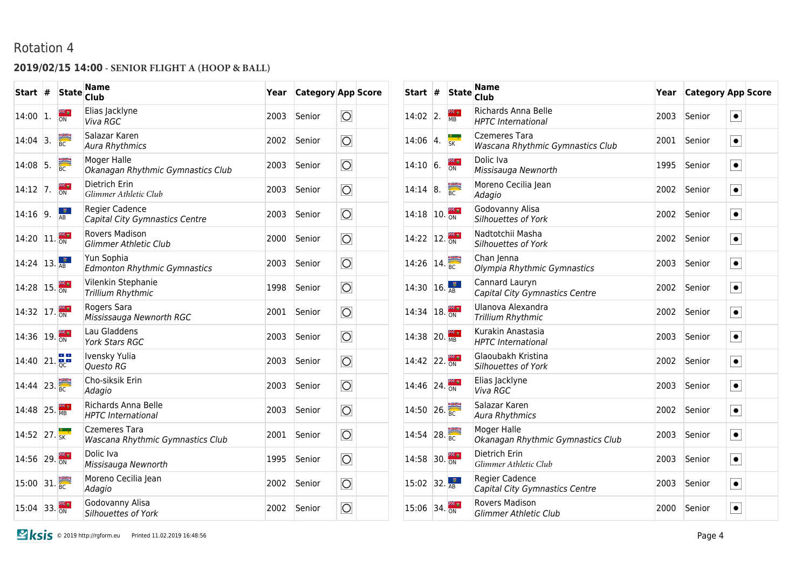#### **2019/02/15 14:00 - SENIOR FLIGHT A (HOOP & BALL)**

| Start # |    | <b>State</b>             | <b>Name</b><br><b>Club</b>                            | Year |        | <b>Category App Score</b> |
|---------|----|--------------------------|-------------------------------------------------------|------|--------|---------------------------|
| 14:00   | 1. | $\frac{25}{25}$          | Elias Jacklyne<br>Viva RGC                            | 2003 | Senior | $\overline{O}$            |
| 14:04   | 3. | $rac{1}{BC}$             | Salazar Karen<br><b>Aura Rhythmics</b>                | 2002 | Senior | $\overline{O}$            |
| 14:08   | 5. | $rac{1}{BC}$             | Moger Halle<br>Okanagan Rhythmic Gymnastics Club      | 2003 | Senior | $\overline{O}$            |
| 14:12   | 7. | an<br>Si                 | Dietrich Erin<br>Glimmer Athletic Club                | 2003 | Senior | $\overline{O}$            |
| 14:16   | 9. | AB                       | Regier Cadence<br>Capital City Gymnastics Centre      | 2003 | Senior | $\overline{O}$            |
| 14:20   |    | 11.5                     | <b>Rovers Madison</b><br><b>Glimmer Athletic Club</b> | 2000 | Senior | $\overline{O}$            |
| 14:24   |    | 13. $\frac{1}{AB}$       | Yun Sophia<br><b>Edmonton Rhythmic Gymnastics</b>     | 2003 | Senior | $\overline{O}$            |
| 14:28   |    | 15. $\frac{15}{20}$      | Vilenkin Stephanie<br><b>Trillium Rhythmic</b>        | 1998 | Senior | $\overline{O}$            |
| 14:32   |    | 17. $\frac{12.5}{10}$    | Rogers Sara<br>Mississauga Newnorth RGC               | 2001 | Senior | $\overline{O}$            |
| 14:36   |    | 19. $\frac{25}{5}$       | Lau Gladdens<br><b>York Stars RGC</b>                 | 2003 | Senior | $\overline{O}$            |
| 14:40   |    | $\sim$ 1 $\sim$<br>21.6C | Ivensky Yulia<br>Questo RG                            | 2003 | Senior | $\overline{O}$            |
| 14:44   |    | 23.5c                    | Cho-siksik Erin<br>Adagio                             | 2003 | Senior | $\overline{O}$            |
| 14:48   |    | 25. $\frac{314}{MB}$     | Richards Anna Belle<br><b>HPTC</b> International      | 2003 | Senior | $\overline{O}$            |
| 14:52   |    | 27. $\frac{5}{5}$        | Czemeres Tara<br>Wascana Rhythmic Gymnastics Club     | 2001 | Senior | $\overline{O}$            |
| 14:56   |    | 29. $\frac{125}{ON}$     | Dolic Iva<br>Missisauga Newnorth                      | 1995 | Senior | $\overline{O}$            |
| 15:00   |    | 31.5                     | Moreno Cecilia Jean<br>Adagio                         | 2002 | Senior | $\overline{O}$            |
| 15:04   |    | 33. $\frac{1}{ON}$       | Godovanny Alisa<br>Silhouettes of York                | 2002 | Senior | $\overline{O}$            |

| Start | #                  | <b>State</b>                        | <b>Name</b><br>Club                                      | Year | <b>Category App Score</b> |           |  |
|-------|--------------------|-------------------------------------|----------------------------------------------------------|------|---------------------------|-----------|--|
| 14:02 | 2.                 | <mark>채용 <sub>명</sub>.</mark><br>MB | Richards Anna Belle<br><b>HPTC</b> International         | 2003 | Senior                    | $\bullet$ |  |
| 14:06 | 4.                 | SK                                  | <b>Czemeres Tara</b><br>Wascana Rhythmic Gymnastics Club | 2001 | Senior                    | $\bullet$ |  |
| 14:10 | 6.                 | ¥≋ ®<br>ON                          | Dolic Iva<br>Missisauga Newnorth                         | 1995 | Senior                    | $\bullet$ |  |
| 14:14 | 8.                 | $rac{1}{BC}$                        | Moreno Cecilia Jean<br>Adagio                            | 2002 | Senior                    | $\bullet$ |  |
| 14:18 |                    | $10.5^{\frac{9}{5}}$                | Godovanny Alisa<br>Silhouettes of York                   | 2002 | Senior                    | $\bullet$ |  |
| 14:22 |                    | $12. \frac{25}{5}$                  | Nadtotchii Masha<br>Silhouettes of York                  | 2002 | Senior                    | $\bullet$ |  |
| 14:26 |                    | $14.$ BC                            | Chan Jenna<br>Olympia Rhythmic Gymnastics                | 2003 | Senior                    | $\bullet$ |  |
| 14:30 |                    | $16. \frac{4}{AB}$                  | Cannard Lauryn<br>Capital City Gymnastics Centre         | 2002 | Senior                    | $\bullet$ |  |
| 14:34 |                    | 18. $\frac{18}{5}$                  | Ulanova Alexandra<br>Trillium Rhythmic                   | 2002 | Senior                    | $\bullet$ |  |
| 14:38 |                    | 20. $\frac{32.3}{MB}$               | Kurakin Anastasia<br><b>HPTC</b> International           | 2003 | Senior                    | $\bullet$ |  |
| 14:42 |                    | 22. $\frac{22}{10N}$                | Glaoubakh Kristina<br>Silhouettes of York                | 2002 | Senior                    | $\bullet$ |  |
| 14:46 |                    | 24. $\frac{24}{5}$                  | Elias Jacklyne<br>Viva RGC                               | 2003 | Senior                    | $\bullet$ |  |
| 14:50 |                    | 26.5c                               | Salazar Karen<br><b>Aura Rhythmics</b>                   | 2002 | Senior                    | $\bullet$ |  |
| 14:54 |                    | 28.5c                               | Moger Halle<br>Okanagan Rhythmic Gymnastics Club         | 2003 | Senior                    | $\bullet$ |  |
| 14:58 |                    | 30. $\frac{125}{20}$                | Dietrich Erin<br>Glimmer Athletic Club                   | 2003 | Senior                    | $\bullet$ |  |
| 15:02 | 32. $\frac{1}{AB}$ |                                     | Regier Cadence<br>Capital City Gymnastics Centre         | 2003 | Senior                    | $\bullet$ |  |
| 15:06 | 34.0 <sub>ON</sub> |                                     | <b>Rovers Madison</b><br><b>Glimmer Athletic Club</b>    | 2000 | Senior                    | $\bullet$ |  |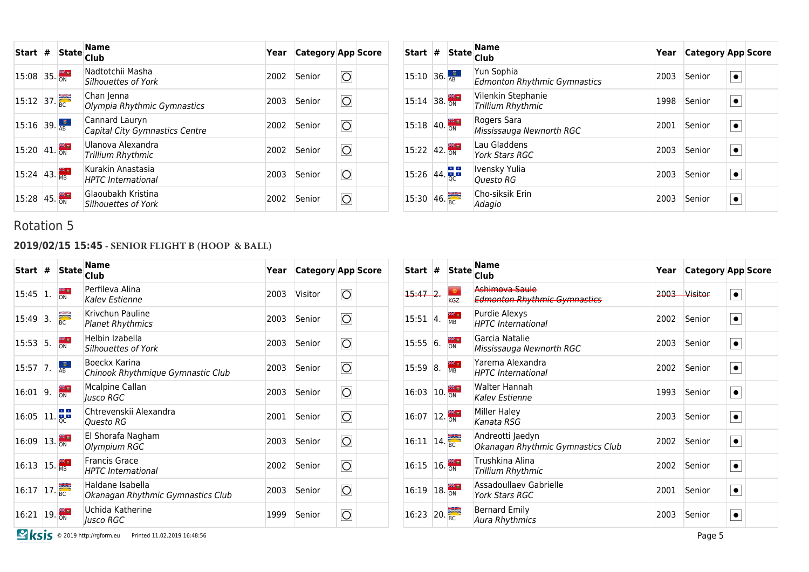| Start $#$                                     |  | Name<br>- <b>State</b> Club                      | Year | <b>Category App Score</b> |                | Start $#$                   |  | Name<br>$\div$ State Club                         | Year | <b>Category App Score</b> |                      |  |
|-----------------------------------------------|--|--------------------------------------------------|------|---------------------------|----------------|-----------------------------|--|---------------------------------------------------|------|---------------------------|----------------------|--|
| $15:08$ 35. $\frac{144 \text{ m}}{\text{ON}}$ |  | Nadtotchii Masha<br>Silhouettes of York          | 2002 | Senior                    | $\overline{O}$ | $15:10$ 36. $\frac{1}{AB}$  |  | Yun Sophia<br><b>Edmonton Rhythmic Gymnastics</b> | 2003 | Senior                    | $\bullet$            |  |
| $15:12$ 37.                                   |  | Chan Jenna<br>Olympia Rhythmic Gymnastics        | 2003 | Senior                    | $\overline{O}$ | $15:14$ 38. $\frac{14}{20}$ |  | Vilenkin Stephanie<br>Trillium Rhythmic           | 1998 | Senior                    | $\overline{\bullet}$ |  |
| $15:16$ 39. $\frac{3}{48}$                    |  | Cannard Lauryn<br>Capital City Gymnastics Centre | 2002 | Senior                    | $\overline{O}$ | 15:18 40.                   |  | Rogers Sara<br>Mississauga Newnorth RGC           | 2001 | Senior                    | $\overline{\bullet}$ |  |
| 15:20 41.                                     |  | Ulanova Alexandra<br>Trillium Rhythmic           | 2002 | Senior                    | $\overline{O}$ | 15:22 42.                   |  | Lau Gladdens<br><b>York Stars RGC</b>             | 2003 | Senior                    | $\bullet$            |  |
| $15:24$ 43.                                   |  | Kurakin Anastasia<br><b>HPTC</b> International   | 2003 | Senior                    | $\overline{O}$ | $15:26$ 44.                 |  | Ivensky Yulia<br>Questo RG                        | 2003 | Senior                    | $\bullet$            |  |
| 15:28 45.                                     |  | Glaoubakh Kristina<br>Silhouettes of York        | 2002 | Senior                    | $\overline{O}$ | $15:30$ 46.                 |  | Cho-siksik Erin<br>Adagio                         | 2003 | Senior                    | $\bullet$            |  |

#### **2019/02/15 15:45 - SENIOR FLIGHT B (HOOP & BALL)**

| <b>Start</b> | #   | <b>State</b>                                 | <b>Name</b><br><b>Club</b>                            | Year | <b>Category App Score</b> |                    |  | Start       | #  | <b>State</b>            |
|--------------|-----|----------------------------------------------|-------------------------------------------------------|------|---------------------------|--------------------|--|-------------|----|-------------------------|
| 15:45        | 1.  | <sub>ਸਵ</sub> ੈ<br>≌                         | Perfileva Alina<br>Kalev Estienne                     | 2003 | Visitor                   | $\overline{O}$     |  | $15:47 - 2$ |    | $\odot$<br>KGZ          |
| 15:49        | 3.  | $rac{1}{BC}$                                 | Krivchun Pauline<br><b>Planet Rhythmics</b>           | 2003 | Senior                    | $\overline{O}$     |  | 15:51       | 4. | झह <sub>ध</sub> ।<br>MB |
| $15:53$ 5.   |     | $\frac{2\pi}{\pi}$                           | Helbin Izabella<br>Silhouettes of York                | 2003 | Senior                    | $\overline{O}$     |  | 15:55       | 6. | ON<br><sub>Hiế</sub> r  |
| 15:57        | 7.  | $\begin{array}{c} \bullet \\ AB \end{array}$ | Boeckx Karina<br>Chinook Rhythmique Gymnastic Club    | 2003 | Senior                    | $\overline{O}$     |  | $15:59$ 8.  |    | MB<br>MB                |
| 16:01        | 9.  | a≋ ∜<br>$\overline{ON}$                      | Mcalpine Callan<br>Jusco RGC                          | 2003 | Senior                    | $\overline{O}$     |  | 16:03       |    | 10.5                    |
| 16:05        | 11. | $rac{1}{\sqrt{2}}$                           | Chtrevenskii Alexandra<br>Questo RG                   | 2001 | Senior                    | $\overline{O}$     |  | 16:07       |    | 12. $\frac{12}{20}$     |
| 16:09        |     | 13.78                                        | El Shorafa Nagham<br>Olympium RGC                     | 2003 | Senior                    | $\overline{\circ}$ |  | 16:11       |    | 14.8                    |
| 16:13        |     | $15.$ $\frac{12.6}{MB}$                      | <b>Francis Grace</b><br><b>HPTC</b> International     | 2002 | Senior                    | $\overline{O}$     |  | 16:15       |    | 16.5                    |
| 16:17        |     | 17.5                                         | Haldane Isabella<br>Okanagan Rhythmic Gymnastics Club | 2003 | Senior                    | $\overline{O}$     |  | 16:19       |    | 18. $\frac{18}{5}$      |
| 16:21        | 19. | $\frac{2\pi}{\pi}$                           | Uchida Katherine<br>Jusco RGC                         | 1999 | Senior                    | $\overline{O}$     |  | 16:23       |    | 20.5c                   |

| Start              | #                  | <b>State</b>                 | <b>Name</b><br>Club                                              | Year            | <b>Category App Score</b> |           |  |
|--------------------|--------------------|------------------------------|------------------------------------------------------------------|-----------------|---------------------------|-----------|--|
| <del>15:47 -</del> | -2.                | $\circ$<br>KGZ               | <del>Ashimova Saule</del><br><b>Edmonton Rhythmic Gymnastics</b> | <del>2003</del> | Visitor                   | $\bullet$ |  |
| 15:51              | 4.                 | ye <sup>a</sup><br><b>MB</b> | Purdie Alexys<br><b>HPTC</b> International                       | 2002            | Senior                    | $\bullet$ |  |
| 15:55              | 6.                 | $\frac{2\pi}{2}$             | Garcia Natalie<br>Mississauga Newnorth RGC                       | 2003            | Senior                    | $\bullet$ |  |
| 15:59              | 8.                 | ≋na <sup>a</sup><br>MB       | Yarema Alexandra<br><b>HPTC</b> International                    | 2002            | Senior                    | $\bullet$ |  |
| 16:03              |                    | 10.5                         | Walter Hannah<br><b>Kalev Estienne</b>                           | 1993            | Senior                    | $\bullet$ |  |
| 16:07              |                    | 12. $\frac{12.54}{10}$       | Miller Haley<br>Kanata RSG                                       | 2003            | Senior                    | $\bullet$ |  |
| 16:11              | 14.                |                              | Andreotti Jaedyn<br>Okanagan Rhythmic Gymnastics Club            | 2002            | Senior                    | $\bullet$ |  |
| 16:15              | 16.                | $\frac{2\pi}{100}$           | Trushkina Alina<br>Trillium Rhythmic                             | 2002            | Senior                    | $\bullet$ |  |
| 16:19              | 18. $\frac{25}{5}$ |                              | Assadoullaev Gabrielle<br>York Stars RGC                         | 2001            | Senior                    | $\bullet$ |  |
| 16:23              | 20.                | $rac{1}{BC}$                 | <b>Bernard Emily</b><br><b>Aura Rhythmics</b>                    | 2003            | Senior                    | ٠         |  |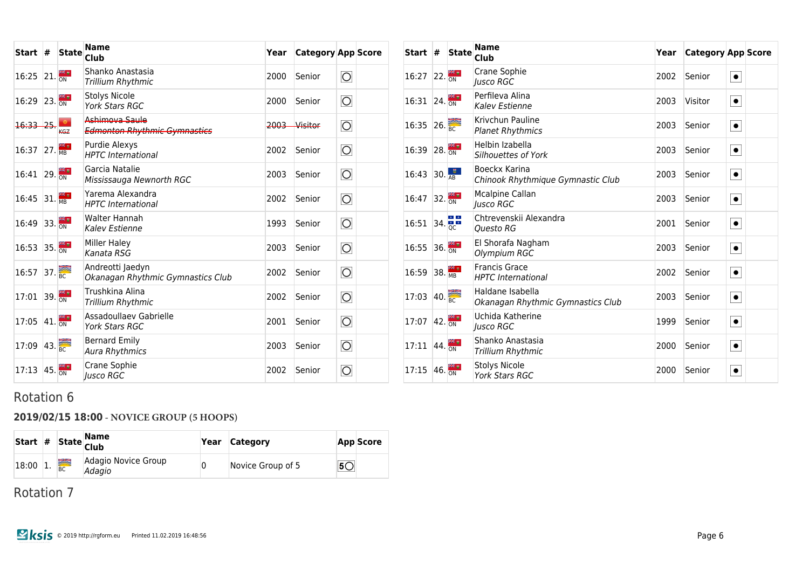| Start # State                |                    | <b>Name</b><br><b>Club</b>                            | Year | <b>Category App Score</b> |                | Start # State            |       | <b>Name</b><br><b>Club</b>                            | Year | <b>Category App Score</b> |                          |  |
|------------------------------|--------------------|-------------------------------------------------------|------|---------------------------|----------------|--------------------------|-------|-------------------------------------------------------|------|---------------------------|--------------------------|--|
| 16:25 21.                    |                    | Shanko Anastasia<br><b>Trillium Rhythmic</b>          | 2000 | Senior                    | $\overline{O}$ | 16:27 22.                |       | Crane Sophie<br>Jusco RGC                             | 2002 | Senior                    | $\left  \bullet \right $ |  |
| 16:29 23.                    |                    | Stolys Nicole<br>York Stars RGC                       | 2000 | Senior                    | $\overline{O}$ | 16:31 24.                |       | Perfileva Alina<br><b>Kalev Estienne</b>              | 2003 | Visitor                   | $\bullet$                |  |
| $16:33 - 25$                 | KGZ                | Ashimova Saule<br><b>Edmonton Rhythmic Gymnastics</b> |      | 2003 Visitor              | $\overline{O}$ | $16:35$ 26.              |       | Krivchun Pauline<br><b>Planet Rhythmics</b>           | 2003 | Senior                    | $\bullet$                |  |
| 16:37 27.                    |                    | Purdie Alexys<br><b>HPTC</b> International            | 2002 | Senior                    | $\overline{O}$ | 16:39 28.                |       | Helbin Izabella<br>Silhouettes of York                | 2003 | Senior                    | $\left  \bullet \right $ |  |
| 16:41 29. $\frac{12}{5}$     |                    | Garcia Natalie<br>Mississauga Newnorth RGC            | 2003 | Senior                    | $\overline{O}$ | 16:43 30. $\frac{1}{AB}$ |       | Boeckx Karina<br>Chinook Rhythmique Gymnastic Club    | 2003 | Senior                    | $\bullet$                |  |
| 16:45 31.                    |                    | Yarema Alexandra<br><b>HPTC</b> International         | 2002 | Senior                    | $\overline{O}$ | 16:47 32.                |       | Mcalpine Callan<br><b>Jusco RGC</b>                   | 2003 | Senior                    | $\bullet$                |  |
| $16:49$ 33. $\frac{144}{60}$ |                    | <b>Walter Hannah</b><br><b>Kalev Estienne</b>         | 1993 | Senior                    | $\overline{O}$ | 16:51 34.                | $+ +$ | Chtrevenskii Alexandra<br>Questo RG                   | 2001 | Senior                    | e                        |  |
| 16:53 35.                    |                    | Miller Haley<br>Kanata RSG                            | 2003 | Senior                    | $\overline{O}$ | 16:55 36.                |       | El Shorafa Nagham<br>Olympium RGC                     | 2003 | Senior                    | $\bullet$                |  |
| 16:57 37.                    |                    | Andreotti Jaedyn<br>Okanagan Rhythmic Gymnastics Club | 2002 | Senior                    | $\overline{O}$ | $16:59$ 38.              |       | <b>Francis Grace</b><br><b>HPTC</b> International     | 2002 | Senior                    | $\bullet$                |  |
| 17:01 39. $\frac{17}{6N}$    |                    | Trushkina Alina<br><b>Trillium Rhythmic</b>           | 2002 | Senior                    | $\overline{O}$ | 17:03 40.                |       | Haldane Isabella<br>Okanagan Rhythmic Gymnastics Club | 2003 | Senior                    | $\bullet$                |  |
| 17:05 41.                    |                    | Assadoullaev Gabrielle<br>York Stars RGC              | 2001 | Senior                    | $\overline{O}$ | 17:07 42.                |       | Uchida Katherine<br>Jusco RGC                         | 1999 | Senior                    | $\bullet$                |  |
| 17:09 43.                    |                    | <b>Bernard Emily</b><br>Aura Rhythmics                | 2003 | Senior                    | $\overline{O}$ | 17:11 44.                |       | Shanko Anastasia<br>Trillium Rhythmic                 | 2000 | Senior                    | $\bullet$                |  |
| 17:13                        | 45. $\frac{25}{5}$ | Crane Sophie<br>Jusco RGC                             | 2002 | Senior                    | $\overline{O}$ | 17:15 46.                |       | Stolys Nicole<br>York Stars RGC                       | 2000 | Senior                    | $\left  \bullet \right $ |  |

### **2019/02/15 18:00 - NOVICE GROUP (5 HOOPS)**

|       |          | Start # State Name            | Year | Category          | <b>App Score</b> |
|-------|----------|-------------------------------|------|-------------------|------------------|
| 18:00 | BC<br>BC | Adagio Novice Group<br>Adagio |      | Novice Group of 5 | $\overline{5O}$  |

# Rotation 7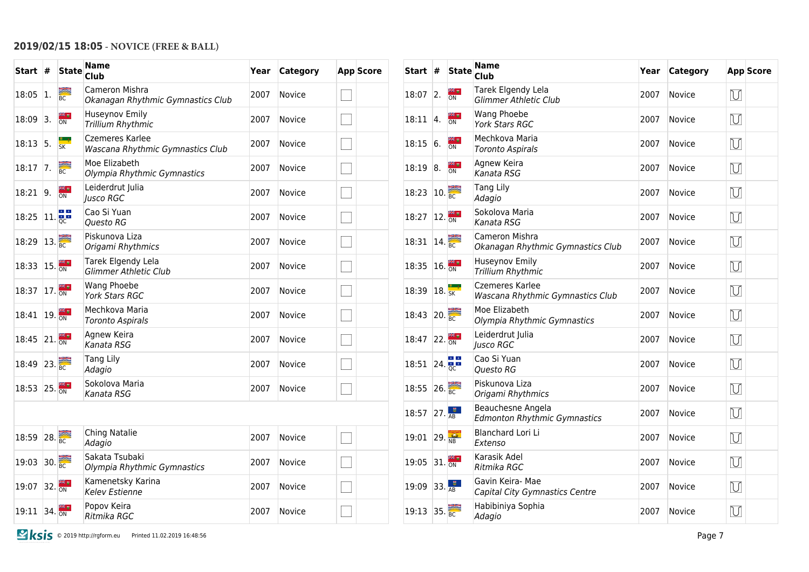#### **2019/02/15 18:05 - NOVICE (FREE & BALL)**

| Start | #  | <b>State</b>                | Name<br>Club                                        | Year | Category      | <b>App Score</b> |
|-------|----|-----------------------------|-----------------------------------------------------|------|---------------|------------------|
| 18:05 | 1. | $rac{1}{BC}$                | Cameron Mishra<br>Okanagan Rhythmic Gymnastics Club | 2007 | Novice        |                  |
| 18:09 | 3. | $\frac{1}{2}$ $\frac{1}{2}$ | Huseynov Emily<br>Trillium Rhythmic                 | 2007 | Novice        |                  |
| 18:13 | 5. | <mark>u .<br/>Sk</mark>     | Czemeres Karlee<br>Wascana Rhythmic Gymnastics Club | 2007 | Novice        |                  |
| 18:17 | 7. | BC                          | Moe Elizabeth<br>Olympia Rhythmic Gymnastics        | 2007 | Novice        |                  |
| 18:21 | 9. | ≔.<br>$\overline{ON}$       | Leiderdrut Julia<br>Jusco RGC                       | 2007 | Novice        |                  |
| 18:25 |    | 11.                         | Cao Si Yuan<br>Questo RG                            | 2007 | Novice        |                  |
| 18:29 |    | 13.5c                       | Piskunova Liza<br>Origami Rhythmics                 | 2007 | Novice        |                  |
| 18:33 |    | $15.$ $\frac{25}{20}$       | Tarek Elgendy Lela<br>Glimmer Athletic Club         | 2007 | Novice        |                  |
| 18:37 |    | 17. $\frac{312}{20}$        | Wang Phoebe<br>York Stars RGC                       | 2007 | Novice        |                  |
| 18:41 |    | $19.$ $\frac{25}{20}$       | Mechkova Maria<br><b>Toronto Aspirals</b>           | 2007 | Novice        |                  |
| 18:45 |    | $21.$ $\frac{24}{10}$       | Agnew Keira<br>Kanata RSG                           | 2007 | Novice        |                  |
| 18:49 |    | 23.5c                       | Tang Lily<br>Adagio                                 | 2007 | Novice        |                  |
| 18:53 |    | 25. $\frac{25}{20}$         | Sokolova Maria<br>Kanata RSG                        | 2007 | Novice        |                  |
|       |    |                             |                                                     |      |               |                  |
| 18:59 |    | 28.5c                       | Ching Natalie<br>Adagio                             | 2007 | Novice        |                  |
| 19:03 |    | 30.5 <sup>2</sup>           | Sakata Tsubaki<br>Olympia Rhythmic Gymnastics       | 2007 | Novice        |                  |
| 19:07 |    | 32. $\frac{1}{ON}$          | Kamenetsky Karina<br><b>Kelev Estienne</b>          | 2007 | <b>Novice</b> |                  |
| 19:11 |    | 34. $\frac{1}{ON}$          | Popov Keira<br>Ritmika RGC                          | 2007 | Novice        |                  |

| Start | #  | <b>State</b>                                                                                                                                                                                                                                                                                                        | <b>Name</b><br>Club                                        | Year | Category | <b>App Score</b> |
|-------|----|---------------------------------------------------------------------------------------------------------------------------------------------------------------------------------------------------------------------------------------------------------------------------------------------------------------------|------------------------------------------------------------|------|----------|------------------|
| 18:07 | 2. | ON<br><sub>Sig</sub>                                                                                                                                                                                                                                                                                                | Tarek Elgendy Lela<br><b>Glimmer Athletic Club</b>         | 2007 | Novice   | $\bigcup$        |
| 18:11 | 4. | ≔,<br>$\overline{ON}$                                                                                                                                                                                                                                                                                               | Wang Phoebe<br>York Stars RGC                              | 2007 | Novice   | $\overline{U}$   |
| 18:15 | 6. | $\frac{1}{2}$ $\frac{1}{2}$                                                                                                                                                                                                                                                                                         | Mechkova Maria<br><b>Toronto Aspirals</b>                  | 2007 | Novice   | $\overline{U}$   |
| 18:19 | 8. | $\frac{1}{2}$ $\frac{1}{2}$ $\frac{1}{2}$ $\frac{1}{2}$ $\frac{1}{2}$ $\frac{1}{2}$ $\frac{1}{2}$ $\frac{1}{2}$ $\frac{1}{2}$ $\frac{1}{2}$ $\frac{1}{2}$ $\frac{1}{2}$ $\frac{1}{2}$ $\frac{1}{2}$ $\frac{1}{2}$ $\frac{1}{2}$ $\frac{1}{2}$ $\frac{1}{2}$ $\frac{1}{2}$ $\frac{1}{2}$ $\frac{1}{2}$ $\frac{1}{2}$ | Agnew Keira<br>Kanata RSG                                  | 2007 | Novice   | $\overline{U}$   |
| 18:23 |    | 10.                                                                                                                                                                                                                                                                                                                 | <b>Tang Lily</b><br>Adagio                                 | 2007 | Novice   | $\overline{U}$   |
| 18:27 |    | 12. $\frac{25}{5}$                                                                                                                                                                                                                                                                                                  | Sokolova Maria<br>Kanata RSG                               | 2007 | Novice   | $\overline{U}$   |
| 18:31 |    | 14.                                                                                                                                                                                                                                                                                                                 | Cameron Mishra<br>Okanagan Rhythmic Gymnastics Club        | 2007 | Novice   | $\overline{U}$   |
| 18:35 |    | 16. $\frac{25}{5}$                                                                                                                                                                                                                                                                                                  | Huseynov Emily<br>Trillium Rhythmic                        | 2007 | Novice   | $\overline{U}$   |
| 18:39 |    | 18.5k                                                                                                                                                                                                                                                                                                               | <b>Czemeres Karlee</b><br>Wascana Rhythmic Gymnastics Club | 2007 | Novice   | $\overline{U}$   |
| 18:43 |    | 20.5c                                                                                                                                                                                                                                                                                                               | Moe Elizabeth<br>Olympia Rhythmic Gymnastics               | 2007 | Novice   | $\overline{U}$   |
| 18:47 |    | 22. $\frac{25}{6N}$                                                                                                                                                                                                                                                                                                 | Leiderdrut Julia<br>Jusco RGC                              | 2007 | Novice   | $\overline{U}$   |
| 18:51 |    | $+ 1 +$<br>24.60                                                                                                                                                                                                                                                                                                    | Cao Si Yuan<br>Questo RG                                   | 2007 | Novice   | $\overline{U}$   |
| 18:55 |    | $26.$ <sub>BC</sub>                                                                                                                                                                                                                                                                                                 | Piskunova Liza<br>Origami Rhythmics                        | 2007 | Novice   | $\overline{U}$   |
| 18:57 |    | 27. $AB$                                                                                                                                                                                                                                                                                                            | Beauchesne Angela<br><b>Edmonton Rhythmic Gymnastics</b>   | 2007 | Novice   | $\overline{U}$   |
| 19:01 |    | 29.16                                                                                                                                                                                                                                                                                                               | Blanchard Lori Li<br>Extenso                               | 2007 | Novice   | $\overline{U}$   |
| 19:05 |    | 31. $\frac{32.60}{100}$                                                                                                                                                                                                                                                                                             | Karasik Adel<br>Ritmika RGC                                | 2007 | Novice   | $\overline{U}$   |
| 19:09 |    | 33. $\frac{3}{AB}$                                                                                                                                                                                                                                                                                                  | Gavin Keira- Mae<br>Capital City Gymnastics Centre         | 2007 | Novice   | $\overline{U}$   |
| 19:13 |    | $35.$ BC                                                                                                                                                                                                                                                                                                            | Habibiniya Sophia<br>Adagio                                | 2007 | Novice   | $\overline{U}$   |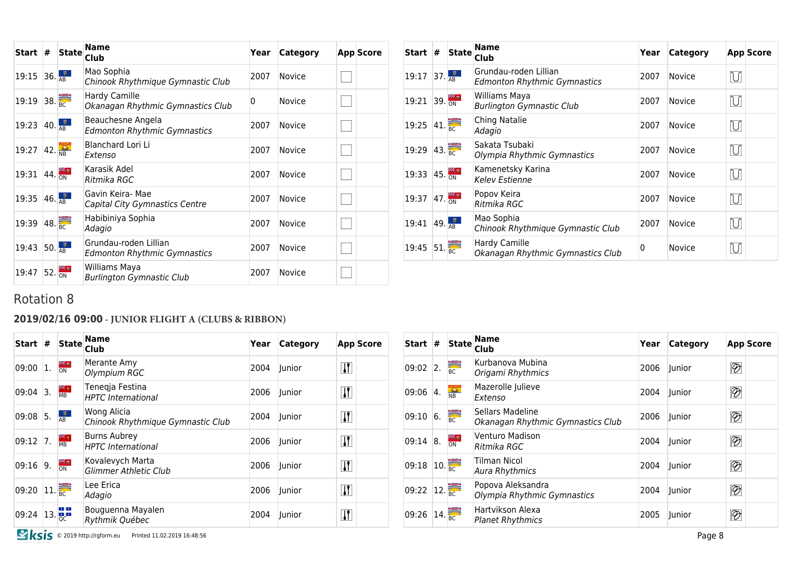| <b>Start</b> | #                     | <b>State</b>       | <b>Name</b><br>Club                                          | Year | Category      | <b>App Score</b> |
|--------------|-----------------------|--------------------|--------------------------------------------------------------|------|---------------|------------------|
| 19:15        |                       | 36. $\frac{1}{AB}$ | Mao Sophia<br>Chinook Rhythmique Gymnastic Club              | 2007 | Novice        |                  |
| 19:19        |                       | 38.5c              | Hardy Camille<br>Okanagan Rhythmic Gymnastics Club           | 0    | <b>Novice</b> |                  |
| 19:23        |                       | 40. $\frac{1}{AB}$ | Beauchesne Angela<br><b>Edmonton Rhythmic Gymnastics</b>     | 2007 | Novice        |                  |
| 19:27        | $42.$ $\frac{12}{NB}$ |                    | Blanchard Lori Li<br>Extenso                                 | 2007 | Novice        |                  |
| 19:31        |                       | 44.                | Karasik Adel<br>Ritmika RGC                                  | 2007 | Novice        |                  |
| 19:35        |                       | 46. $\frac{1}{AB}$ | Gavin Keira- Mae<br><b>Capital City Gymnastics Centre</b>    | 2007 | Novice        |                  |
| 19:39        |                       | 48.                | Habibiniya Sophia<br>Adagio                                  | 2007 | Novice        |                  |
| 19:43        |                       | 50. $\frac{1}{AB}$ | Grundau-roden Lillian<br><b>Edmonton Rhythmic Gymnastics</b> | 2007 | Novice        |                  |
| 19:47        |                       | 52. $\frac{1}{ON}$ | Williams Maya<br>Burlington Gymnastic Club                   | 2007 | Novice        |                  |

| Start $#$ | <b>State</b>       | Name<br>Club                                                 | Year | Category      |                   | <b>App Score</b> |
|-----------|--------------------|--------------------------------------------------------------|------|---------------|-------------------|------------------|
| 19:17     | 37. $\frac{3}{AB}$ | Grundau-roden Lillian<br><b>Edmonton Rhythmic Gymnastics</b> | 2007 | <b>Novice</b> | U                 |                  |
| 19:21     | 39. $\frac{1}{2}$  | Williams Maya<br><b>Burlington Gymnastic Club</b>            | 2007 | <b>Novice</b> | $\mathbb U$       |                  |
| 19:25     | 41.                | Ching Natalie<br>Adagio                                      | 2007 | Novice        | $\overline{\cup}$ |                  |
| 19:29     | 43.5c              | Sakata Tsubaki<br>Olympia Rhythmic Gymnastics                | 2007 | <b>Novice</b> | $\overline{\cup}$ |                  |
| 19:33     | 45. $\frac{25}{5}$ | Kamenetsky Karina<br>Kelev Estienne                          | 2007 | Novice        | $\bigcup$         |                  |
| 19:37     | 47. $\frac{25}{5}$ | Popov Keira<br>Ritmika RGC                                   | 2007 | Novice        | U                 |                  |
| 19:41     | 49. $\frac{3}{AB}$ | Mao Sophia<br>Chinook Rhythmique Gymnastic Club              | 2007 | Novice        | $\bigcup$         |                  |
| 19:45     | 51.5               | Hardy Camille<br>Okanagan Rhythmic Gymnastics Club           | 0    | Novice        | $\mathbb U$       |                  |

#### **2019/02/16 09:00 - JUNIOR FLIGHT A (CLUBS & RIBBON)**

| <b>Start</b> | #                | <b>State</b>                                        | <b>Name</b><br>Club                              | Year | Category      |              | <b>App Score</b> |
|--------------|------------------|-----------------------------------------------------|--------------------------------------------------|------|---------------|--------------|------------------|
| 09:00        | 1.               | $\frac{25}{10}$                                     | Merante Amy<br>Olympium RGC                      | 2004 | Junior        | $\mathbf{I}$ |                  |
| 09:04        | 3.               | <mark>예비 해</mark><br>MB                             | Tenegja Festina<br><b>HPTC</b> International     | 2006 | Junior        | $\mathbf{I}$ |                  |
| 09:08        | 5.               | $\begin{array}{c} \n\frac{1}{3} \\ AB\n\end{array}$ | Wong Alicia<br>Chinook Rhythmique Gymnastic Club | 2004 | <b>Junior</b> | $\mathbf{I}$ |                  |
| 09:12        | $\overline{7}$ . | <del>계속</del><br>MB                                 | <b>Burns Aubrey</b><br><b>HPTC</b> International | 2006 | Junior        | $\mathbf{I}$ |                  |
| 09:16        | 9.               | $\frac{25}{10}$                                     | Kovalevych Marta<br>Glimmer Athletic Club        | 2006 | Junior        | $\mathbf{I}$ |                  |
| 09:20        |                  | 11.56                                               | Lee Erica<br>Adagio                              | 2006 | <b>Junior</b> | $\mathbf{I}$ |                  |
| 09:24        | 13.              | $rac{1}{\sqrt{2}}$                                  | Bouguenna Mayalen<br>Rythmik Québec              | 2004 | <b>Junior</b> | $\mathbf{I}$ |                  |

| Start #   |     | State              | <b>Name</b><br>Club                                   | Year | Category       |                          | <b>App Score</b> |
|-----------|-----|--------------------|-------------------------------------------------------|------|----------------|--------------------------|------------------|
| 09:02     | 2.  | $rac{1}{BC}$       | Kurbanova Mubina<br>Origami Rhythmics                 | 2006 | <b>Junior</b>  | $\overline{\mathscr{D}}$ |                  |
| 09:06     | 4.  | $\frac{1}{NB}$     | Mazerolle Julieve<br>Extenso                          | 2004 | <b>Ilunior</b> | $\overline{\mathscr{D}}$ |                  |
| 09:10     | 6.  | $rac{1}{BC}$       | Sellars Madeline<br>Okanagan Rhythmic Gymnastics Club | 2006 | <b>Junior</b>  | $\overline{\mathscr{D}}$ |                  |
| 09:14     | 8.  | $\frac{2\pi}{\pi}$ | Venturo Madison<br>Ritmika RGC                        | 2004 | Junior         | $\overline{\mathscr{D}}$ |                  |
| 09:18     |     | 10.5               | Tilman Nicol<br>Aura Rhythmics                        | 2004 | <b>Junior</b>  | $\overline{\mathscr{D}}$ |                  |
| 09:22 12. |     |                    | Popova Aleksandra<br>Olympia Rhythmic Gymnastics      | 2004 | <b>Junior</b>  | $\overline{\mathscr{D}}$ |                  |
| 09:26     | 14. | $rac{1}{BC}$       | Hartvikson Alexa<br><b>Planet Rhythmics</b>           | 2005 | <b>Junior</b>  | $\overline{\mathscr{D}}$ |                  |

**■** KSIS © 2019 http://rgform.eu Printed 11.02.2019 16:48:56 Page 8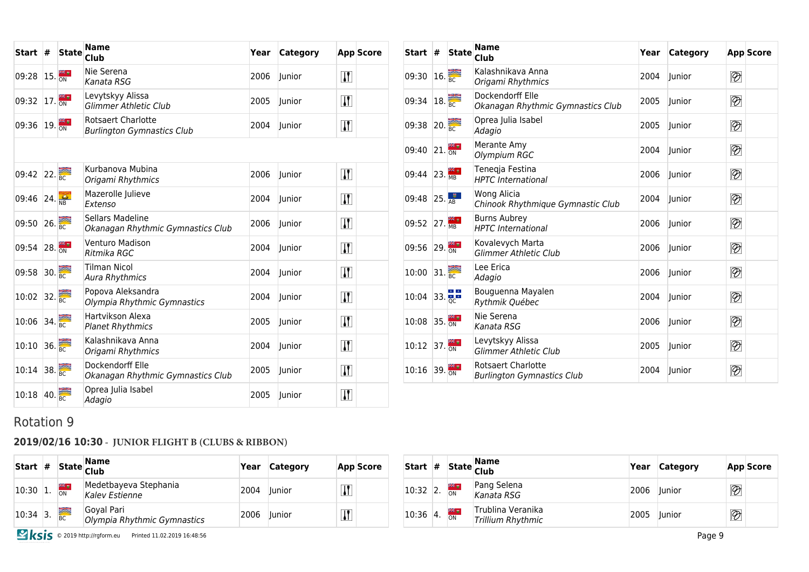| Start $#$ |                       | <b>State</b>          | <b>Name</b><br><b>Club</b>                              | Year | Category      |                                               | <b>App Score</b> |
|-----------|-----------------------|-----------------------|---------------------------------------------------------|------|---------------|-----------------------------------------------|------------------|
| 09:28     |                       | $15. \frac{25}{5}$    | Nie Serena<br>Kanata RSG                                | 2006 | <b>Junior</b> | $\mathbf{H}$                                  |                  |
| 09:32     | $17.$ $\frac{35}{20}$ |                       | Levytskyy Alissa<br>Glimmer Athletic Club               | 2005 | Junior        | $\mathbf{I}$                                  |                  |
| 09:36     | 19.6                  |                       | Rotsaert Charlotte<br><b>Burlington Gymnastics Club</b> | 2004 | Junior        | $\vert \bm{\mathsf{I}} \bm{\mathsf{I}} \vert$ |                  |
|           |                       |                       |                                                         |      |               |                                               |                  |
| 09:42     |                       | 22.76C                | Kurbanova Mubina<br>Origami Rhythmics                   | 2006 | Junior        | $\mathbf{H}$                                  |                  |
| 09:46     | 24.10                 |                       | Mazerolle Julieve<br>Extenso                            | 2004 | Junior        | $\bf{I}$                                      |                  |
| 09:50     |                       | $26.$ BC              | Sellars Madeline<br>Okanagan Rhythmic Gymnastics Club   | 2006 | Junior        | $\bf{I}$                                      |                  |
| 09:54     |                       | 28. $\frac{12}{5}$    | Venturo Madison<br>Ritmika RGC                          | 2004 | Junior        | $\vert \bm{\mathsf{I}} \bm{\mathsf{I}} \vert$ |                  |
| 09:58     |                       | 30.5C                 | Tilman Nicol<br><b>Aura Rhythmics</b>                   | 2004 | Junior        | $\bf{I}$                                      |                  |
| 10:02     |                       | 32.5c                 | Popova Aleksandra<br>Olympia Rhythmic Gymnastics        | 2004 | Junior        | $\bf{I}$                                      |                  |
| 10:06     |                       | $34.$ BC              | Hartvikson Alexa<br><b>Planet Rhythmics</b>             | 2005 | Junior        | $\mathbf{H}$                                  |                  |
| 10:10     |                       | $36.$ $\frac{36}{BC}$ | Kalashnikava Anna<br>Origami Rhythmics                  | 2004 | Junior        | $\bf{T}$                                      |                  |
| 10:14     |                       | 38.                   | Dockendorff Elle<br>Okanagan Rhythmic Gymnastics Club   | 2005 | Junior        | $\bf{I}$                                      |                  |
| 10:18     | $40.$ <sub>BC</sub>   |                       | Oprea Julia Isabel<br>Adagio                            | 2005 | <b>Junior</b> | $\mathbf{H}$                                  |                  |

### **2019/02/16 10:30 - JUNIOR FLIGHT B (CLUBS & RIBBON)**

| Start #           |                    | State Name<br>Club                             | Year | <b>Category</b> |                           | <b>App Score</b> |
|-------------------|--------------------|------------------------------------------------|------|-----------------|---------------------------|------------------|
| $10:30$ 1.        | $\frac{2\pi}{\pi}$ | Medetbayeva Stephania<br><b>Kalev Estienne</b> | 2004 | <b>I</b> unior  |                           |                  |
| $10:34$ 3.        | BC<br>BC           | Goyal Pari<br>Olympia Rhythmic Gymnastics      | 2006 | <b>Junior</b>   | $\boldsymbol{\mathsf{l}}$ |                  |
| <b>CONTRACTOR</b> |                    |                                                |      |                 |                           |                  |

| <b>Start</b> | #   | <b>State</b>                                                                          | <b>Name</b><br><b>Club</b>                              | Year | Category      |                          | <b>App Score</b> |
|--------------|-----|---------------------------------------------------------------------------------------|---------------------------------------------------------|------|---------------|--------------------------|------------------|
| 09:30        |     | 16.                                                                                   | Kalashnikava Anna<br>Origami Rhythmics                  | 2004 | Junior        | $\overline{\mathscr{D}}$ |                  |
| 09:34        |     | 18.5c                                                                                 | Dockendorff Elle<br>Okanagan Rhythmic Gymnastics Club   | 2005 | <b>Iunior</b> | $\overline{\mathscr{D}}$ |                  |
| 09:38        |     | 20.5c                                                                                 | Oprea Julia Isabel<br>Adagio                            | 2005 | Junior        | $\overline{\mathscr{D}}$ |                  |
| 09:40        |     | 21. $\frac{2.1 \times 10^{-11}}{100}$                                                 | Merante Amy<br>Olympium RGC                             | 2004 | Junior        | $\overline{\mathscr{D}}$ |                  |
| 09:44        |     | 23. $\frac{32}{MB}$                                                                   | Tenegja Festina<br><b>HPTC</b> International            | 2006 | Junior        | $\overline{\mathscr{D}}$ |                  |
| 09:48        |     | 25. $\frac{4}{AB}$                                                                    | Wong Alicia<br>Chinook Rhythmique Gymnastic Club        | 2004 | <b>Junior</b> | $\overline{\mathscr{D}}$ |                  |
| 09:52        |     | 27. $MB$                                                                              | <b>Burns Aubrey</b><br><b>HPTC</b> International        | 2006 | <b>Junior</b> | $\overline{\mathscr{D}}$ |                  |
| 09:56        |     | 29. $\frac{125}{50}$                                                                  | Kovalevych Marta<br>Glimmer Athletic Club               | 2006 | <b>Junior</b> | $\overline{\mathscr{D}}$ |                  |
| 10:00        |     | 31.5                                                                                  | Lee Erica<br>Adagio                                     | 2006 | <b>Junior</b> | $\overline{\mathscr{D}}$ |                  |
| 10:04        | 33. | $\begin{array}{c}\n\bullet \\ \bullet \\ \hline\n\circ \\ \hline\n\circ\n\end{array}$ | Bouguenna Mayalen<br>Rythmik Québec                     | 2004 | Junior        | $\overline{\mathscr{D}}$ |                  |
| 10:08        |     | 35. $\frac{125}{50}$                                                                  | Nie Serena<br>Kanata RSG                                | 2006 | <b>Junior</b> | $\overline{\mathscr{D}}$ |                  |
| 10:12        |     | 37. $\frac{125}{10}$                                                                  | Levytskyy Alissa<br>Glimmer Athletic Club               | 2005 | <b>Iunior</b> | $\overline{\mathscr{D}}$ |                  |
| 10:16        |     | 39. $\frac{125}{100}$                                                                 | Rotsaert Charlotte<br><b>Burlington Gymnastics Club</b> | 2004 | <b>Iunior</b> | $\overline{\mathscr{D}}$ |                  |

| Start #    |                         | State Name<br>Club                            | Year | <b>Category</b> | <b>App Score</b>         |
|------------|-------------------------|-----------------------------------------------|------|-----------------|--------------------------|
| $10:32$ 2. | $\frac{2\pi}{2}$        | Pang Selena<br>Kanata RSG                     | 2006 | <b>Junior</b>   | $\overline{\mathscr{C}}$ |
| $10:36$ 4. | <del>ञ्चह</del> ⊌<br>ON | Trublina Veranika<br><b>Trillium Rhythmic</b> | 2005 | <b>Junior</b>   | $\oslash$                |

**△ksis** © 2019 http://rgform.eu Printed 11.02.2019 16:48:56 Page 9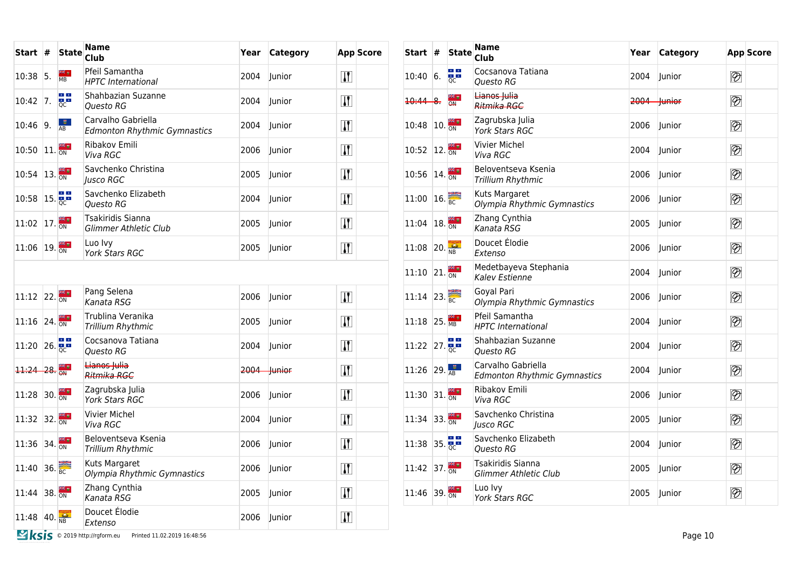| Start       | #  | <b>State</b>                  | <b>Name</b><br>Club                                       | Year | Category       |                                               | <b>App Score</b> |
|-------------|----|-------------------------------|-----------------------------------------------------------|------|----------------|-----------------------------------------------|------------------|
| 10:38       | 5. | ne <sub>B</sub><br>ME         | Pfeil Samantha<br><b>HPTC</b> International               | 2004 | Junior         | $\overline{M}$                                |                  |
| 10:42       | 7. | $+$ $+$<br>$\frac{1}{\alpha}$ | Shahbazian Suzanne<br>Questo RG                           | 2004 | <b>Junior</b>  | $\mathbf{H}$                                  |                  |
| 10:46       | 9. | $\frac{1}{\text{AB}}$         | Carvalho Gabriella<br><b>Edmonton Rhythmic Gymnastics</b> | 2004 | <b>Junior</b>  | $\vert \bm{\mathsf{I}} \bm{\mathsf{I}} \vert$ |                  |
| 10:50       |    | 11. $\frac{32}{N}$            | Ribakov Emili<br>Viva RGC                                 | 2006 | Junior         | $\overline{\mathbf{H}}$                       |                  |
| 10:54       |    | 13. $\frac{25}{5}$            | Savchenko Christina<br>Jusco RGC                          | 2005 | <b>Junior</b>  | $\vert \bm{\Pi} \vert$                        |                  |
| 10:58       |    | 15.                           | Savchenko Elizabeth<br><b>Ouesto RG</b>                   | 2004 | Junior         | $\bf{H}$                                      |                  |
| 11:02       |    | 17. $\frac{25}{5}$            | Tsakiridis Sianna<br>Glimmer Athletic Club                | 2005 | Junior         | $\vert \bm{\Pi} \vert$                        |                  |
| 11:06       |    | 19. $\frac{10}{5}$            | Luo Ivy<br>York Stars RGC                                 | 2005 | <b>Junior</b>  | $\mathbf{H}$                                  |                  |
|             |    |                               |                                                           |      |                |                                               |                  |
| 11:12       |    | 22. $\frac{1}{20N}$           | Pang Selena<br>Kanata RSG                                 | 2006 | Junior         | $\overline{\mathbf{H}}$                       |                  |
| 11:16       |    | 24. $\frac{32}{20}$           | Trublina Veranika<br>Trillium Rhythmic                    | 2005 | Junior         | $\mathbf{H}$                                  |                  |
| 11:20       |    | 26.6C                         | Cocsanova Tatiana<br>Questo RG                            | 2004 | Junior         | $\overline{\mathbf{H}}$                       |                  |
| $11:24$ 28. |    |                               | Lianos Julia<br>Ritmika RGC                               |      | 2004 Junior    | $\overline{M}$                                |                  |
| 11:28       |    | 30. $\frac{36}{5}$            | Zagrubska Julia<br>York Stars RGC                         | 2006 | Junior         | $\vert \bm{\Pi} \vert$                        |                  |
| 11:32       |    | 32. $\frac{125}{10}$          | Vivier Michel<br>Viva RGC                                 | 2004 | Junior         | $\mathbf{H}$                                  |                  |
| 11:36       |    | 34. $\frac{125}{10}$          | Beloventseva Ksenia<br>Trillium Rhythmic                  | 2006 | Junior         | $\vert \bm{\Pi} \vert$                        |                  |
| 11:40       |    | $36.$ $\frac{1}{BC}$          | Kuts Margaret<br>Olympia Rhythmic Gymnastics              | 2006 | Junior         | $\mathbf{H}$                                  |                  |
| 11:44       |    | 38. $\frac{125}{20}$          | Zhang Cynthia<br>Kanata RSG                               | 2005 | Junior         | $\overline{\mathbf{H}}$                       |                  |
| 11:48       |    | $40.$ $\frac{C}{NB}$          | Doucet Élodie<br>Extenso                                  | 2006 | <b>Ilunior</b> | $\boxed{\cdot}$                               |                  |

| Start       | #                  | <b>State</b>            | Name<br>Club                                              | Year | <b>Category</b> | <b>App Score</b>         |
|-------------|--------------------|-------------------------|-----------------------------------------------------------|------|-----------------|--------------------------|
| 10:40       | 6.                 | 4.14.<br>$\frac{1}{00}$ | Cocsanova Tatiana<br>Ouesto RG                            | 2004 | Junior          | $\overline{\mathscr{D}}$ |
| $+0.44 - 8$ |                    | ≋≋ v<br>$\frac{1}{2}$   | Lianos Julia<br>Ritmika RGC                               | 2004 | Hunior          | $\overline{\mathscr{D}}$ |
| 10:48       |                    | $10.$ $\frac{12.6}{10}$ | Zagrubska Julia<br><b>York Stars RGC</b>                  | 2006 | Junior          | $\otimes$                |
| 10:52       |                    | 12. $\frac{12}{10}$     | Vivier Michel<br>Viva RGC                                 | 2004 | Junior          | $\overline{\mathscr{D}}$ |
| 10:56       |                    | 14. $\frac{25}{5}$      | Beloventseva Ksenia<br>Trillium Rhythmic                  | 2006 | Junior          | $\overline{\mathscr{D}}$ |
| 11:00       |                    | $16.$ $\frac{1}{BC}$    | Kuts Margaret<br>Olympia Rhythmic Gymnastics              | 2006 | Junior          | $\overline{\mathscr{D}}$ |
| 11:04       |                    | 18. $\frac{18}{5}$      | Zhang Cynthia<br>Kanata RSG                               | 2005 | <b>Junior</b>   | $\overline{\mathscr{D}}$ |
| 11:08       |                    | $20.$ $\frac{10}{NB}$   | Doucet Élodie<br>Extenso                                  | 2006 | Junior          | $\overline{\mathscr{D}}$ |
| 11:10       |                    | 21. $\frac{12}{5}$      | Medetbayeva Stephania<br>Kalev Estienne                   | 2004 | <b>Junior</b>   | $\overline{\mathscr{D}}$ |
| 11:14       |                    | 23.5c                   | Goyal Pari<br>Olympia Rhythmic Gymnastics                 | 2006 | <b>Junior</b>   | $\overline{\mathscr{D}}$ |
| 11:18       |                    | 25. $\frac{1}{MB}$      | Pfeil Samantha<br><b>HPTC</b> International               | 2004 | Junior          | $\overline{\mathscr{D}}$ |
| 11:22       |                    | 27.6c                   | Shahbazian Suzanne<br>Ouesto RG                           | 2004 | Junior          | $\overline{\mathscr{D}}$ |
| 11:26       |                    | 29. $\frac{1}{AB}$      | Carvalho Gabriella<br><b>Edmonton Rhythmic Gymnastics</b> | 2004 | <b>Junior</b>   | $\overline{\mathscr{D}}$ |
| 11:30       | $31.$ ON           |                         | Ribakov Emili<br>Viva RGC                                 | 2006 | Junior          | $\overline{\mathscr{D}}$ |
| 11:34       | 33.0 <sub>ON</sub> | ≈.                      | Savchenko Christina<br>Jusco RGC                          | 2005 | Junior          | $\overline{\mathscr{D}}$ |
| 11:38       |                    | $+ 1 + 1$<br>35.6c      | Savchenko Elizabeth<br>Ouesto RG                          | 2004 | <b>Junior</b>   | $\overline{\mathscr{D}}$ |
| 11:42       |                    | 37. $\frac{25}{5}$      | Tsakiridis Sianna<br><b>Glimmer Athletic Club</b>         | 2005 | <b>Junior</b>   | $\overline{\mathscr{D}}$ |
| 11:46       | 39.6 <sub>ON</sub> |                         | Luo Ivy<br><b>York Stars RGC</b>                          | 2005 | <b>Junior</b>   | $\overline{\mathscr{D}}$ |

**Example 10 Example 11.02.2019 16:48:56** Page 10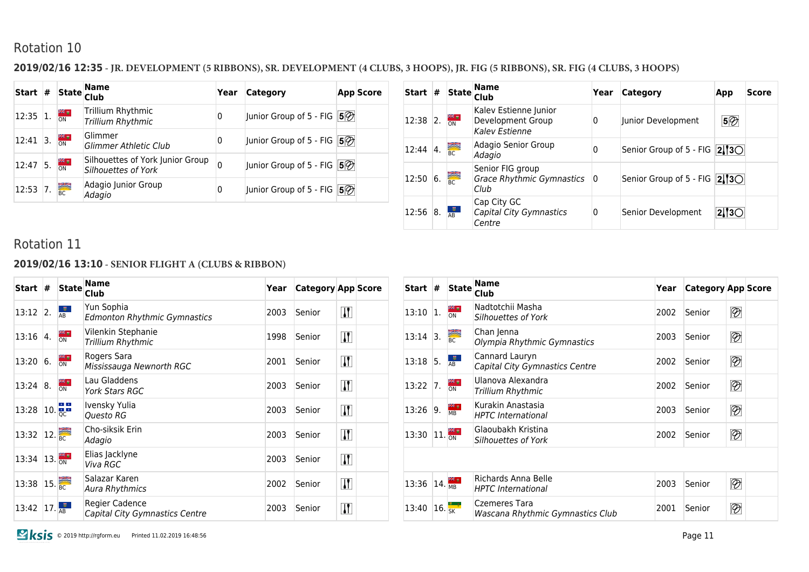#### **2019/02/16 12:35 - JR. DEVELOPMENT (5 RIBBONS), SR. DEVELOPMENT (4 CLUBS, 3 HOOPS), JR. FIG (5 RIBBONS), SR. FIG (4 CLUBS, 3 HOOPS)**

| Start $#$  |              | <b>State</b>                       | Name<br>Club                                            | Year         | <b>Category</b>                        | <b>App Score</b> |
|------------|--------------|------------------------------------|---------------------------------------------------------|--------------|----------------------------------------|------------------|
| $12:35$ 1. |              | $\frac{1}{2}$ and $\frac{1}{2}$    | Trillium Rhythmic<br><b>Trillium Rhythmic</b>           | 0            | Junior Group of 5 - FIG 5 <sup>2</sup> |                  |
| 12:41      | $\mathbf{B}$ | $\frac{1}{2}$ and $\frac{1}{2}$    | Glimmer<br>Glimmer Athletic Club                        | $\mathbf{0}$ | Junior Group of 5 - FIG 5 <sup>2</sup> |                  |
| 12:47      |              | $15.$ $\frac{98}{5}$ $\frac{1}{5}$ | Silhouettes of York Junior Group<br>Silhouettes of York | $\mathbf{0}$ | Junior Group of 5 - FIG $\ 5\%$        |                  |
| 12:53      | 7.           | $rac{1}{BC}$                       | Adagio Junior Group<br>Adagio                           | 0            | Junior Group of 5 - FIG $\ 5\%$        |                  |

| Start $#$ |     | <b>State</b>                    | <b>Name</b><br>Club                                          | Year           | <b>Category</b>                    | App           | <b>Score</b> |
|-----------|-----|---------------------------------|--------------------------------------------------------------|----------------|------------------------------------|---------------|--------------|
| 12:38     | 2.  | $\frac{1}{2}$ and $\frac{1}{2}$ | Kalev Estienne Junior<br>Development Group<br>Kalev Estienne | 0              | Junior Development                 | $5\%$         |              |
| 12:44     | 14. | $rac{1}{BC}$                    | Adagio Senior Group<br>Adagio                                | 0              | Senior Group of 5 - FIG $\ 2\ $ 30 |               |              |
| 12:50     | 6.  | $rac{1}{BC}$                    | Senior FIG group<br><b>Grace Rhythmic Gymnastics</b><br>Club | $\overline{0}$ | Senior Group of 5 - FIG            | <u> 2130 </u> |              |
| 12:56     | 8.  | AB                              | Cap City GC<br>Capital City Gymnastics<br>Centre             | 0              | Senior Development                 | 2 30          |              |

### Rotation 11

#### **2019/02/16 13:10 - SENIOR FLIGHT A (CLUBS & RIBBON)**

| <b>Start</b> | #           | <b>State</b>                                                                                                                                                                                                                                                                                                        | <b>Name</b><br><b>Club</b>                        | Year |        | <b>Category App Score</b> |
|--------------|-------------|---------------------------------------------------------------------------------------------------------------------------------------------------------------------------------------------------------------------------------------------------------------------------------------------------------------------|---------------------------------------------------|------|--------|---------------------------|
| 13:12        | 2.          | $\begin{array}{c} \n\bullet \\ AB\n\end{array}$                                                                                                                                                                                                                                                                     | Yun Sophia<br><b>Edmonton Rhythmic Gymnastics</b> | 2003 | Senior | $\bf{J}$                  |
| 13:16        | 4.          | $\frac{1}{2}$ $\frac{1}{2}$ $\frac{1}{2}$ $\frac{1}{2}$ $\frac{1}{2}$ $\frac{1}{2}$ $\frac{1}{2}$ $\frac{1}{2}$ $\frac{1}{2}$ $\frac{1}{2}$ $\frac{1}{2}$ $\frac{1}{2}$ $\frac{1}{2}$ $\frac{1}{2}$ $\frac{1}{2}$ $\frac{1}{2}$ $\frac{1}{2}$ $\frac{1}{2}$ $\frac{1}{2}$ $\frac{1}{2}$ $\frac{1}{2}$ $\frac{1}{2}$ | Vilenkin Stephanie<br>Trillium Rhythmic           | 1998 | Senior | $\mathbf{J}$              |
| 13:20        | 6.          | $\frac{1}{\sin \theta}$                                                                                                                                                                                                                                                                                             | Rogers Sara<br>Mississauga Newnorth RGC           | 2001 | Senior | $\bf{J}$                  |
| 13:24        | 8.          | $\frac{2\pi}{2}$                                                                                                                                                                                                                                                                                                    | Lau Gladdens<br><b>York Stars RGC</b>             | 2003 | Senior | $\mathbf{I}$              |
| 13:28        |             | 10.62                                                                                                                                                                                                                                                                                                               | Ivensky Yulia<br><b>Ouesto RG</b>                 | 2003 | Senior | $\bf{J}$                  |
| 13:32        |             | 12.5c                                                                                                                                                                                                                                                                                                               | Cho-siksik Erin<br>Adagio                         | 2003 | Senior | $\bm{\Pi}$                |
| 13:34        |             | $13.5^{\frac{9}{600}}$                                                                                                                                                                                                                                                                                              | Elias Jacklyne<br>Viva RGC                        | 2003 | Senior | $\bf{J}$                  |
| 13:38        |             | 15.                                                                                                                                                                                                                                                                                                                 | Salazar Karen<br>Aura Rhythmics                   | 2002 | Senior | $\mathbf{I}$              |
| 13:42        | 17. $_{AB}$ |                                                                                                                                                                                                                                                                                                                     | Regier Cadence<br>Capital City Gymnastics Centre  | 2003 | Senior | $\mathbf{J}$              |

| Start | #  | <b>State</b>                                 | <b>Name</b><br>Club                               | Year | <b>Category App Score</b> |                          |  |
|-------|----|----------------------------------------------|---------------------------------------------------|------|---------------------------|--------------------------|--|
| 13:10 | 1. | $\frac{2\pi}{\pi}$                           | Nadtotchii Masha<br>Silhouettes of York           | 2002 | Senior                    | $\overline{\mathscr{D}}$ |  |
| 13:14 | 3. | $rac{1}{BC}$                                 | Chan Jenna<br>Olympia Rhythmic Gymnastics         | 2003 | Senior                    | $\overline{\mathscr{D}}$ |  |
| 13:18 | 5. | $\begin{array}{c} \bullet \\ AB \end{array}$ | Cannard Lauryn<br>Capital City Gymnastics Centre  | 2002 | Senior                    | $\overline{\mathscr{D}}$ |  |
| 13:22 | 7. | $\frac{25}{10}$                              | Ulanova Alexandra<br>Trillium Rhythmic            | 2002 | Senior                    | $\overline{\mathscr{D}}$ |  |
| 13:26 | 9. | 그 거의<br>M <sub>B</sub>                       | Kurakin Anastasia<br><b>HPTC</b> International    | 2003 | Senior                    | $\overline{\mathscr{D}}$ |  |
| 13:30 |    | 11.5                                         | Glaoubakh Kristina<br>Silhouettes of York         | 2002 | Senior                    | $\overline{\mathscr{D}}$ |  |
|       |    |                                              |                                                   |      |                           |                          |  |
| 13:36 |    | 14. $MB$                                     | Richards Anna Belle<br><b>HPTC</b> International  | 2003 | Senior                    | $\overline{\mathscr{D}}$ |  |
| 13:40 |    | 16.5K                                        | Czemeres Tara<br>Wascana Rhythmic Gymnastics Club | 2001 | Senior                    | $\overline{\mathscr{D}}$ |  |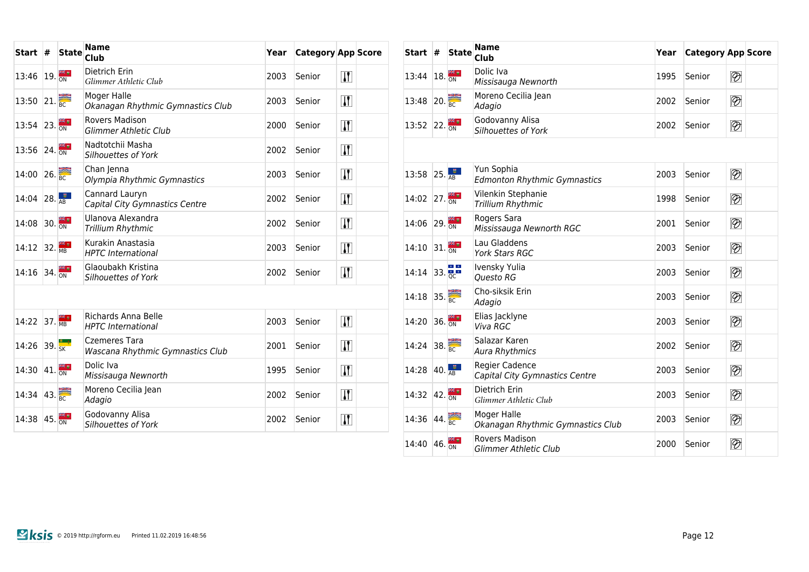| <b>Start</b> | # | <b>State</b>         | <b>Name</b><br><b>Club</b>                        | Year | <b>Category App Score</b> |                                               |  |
|--------------|---|----------------------|---------------------------------------------------|------|---------------------------|-----------------------------------------------|--|
| 13:46        |   | 19. $\frac{25}{5}$   | Dietrich Erin<br>Glimmer Athletic Club            | 2003 | Senior                    | $\bf{T}$                                      |  |
| 13:50        |   | 21.56                | Moger Halle<br>Okanagan Rhythmic Gymnastics Club  | 2003 | Senior                    | $\bf{T}$                                      |  |
| 13:54        |   | 23. $\frac{125}{10}$ | <b>Rovers Madison</b><br>Glimmer Athletic Club    | 2000 | Senior                    | $\boldsymbol{\mathsf{N}}$                     |  |
| 13:56        |   | 24. $\frac{12}{5}$   | Nadtotchii Masha<br>Silhouettes of York           | 2002 | Senior                    | $\mathbf{H}$                                  |  |
| 14:00        |   | $26.$ <sub>BC</sub>  | Chan Jenna<br>Olympia Rhythmic Gymnastics         | 2003 | Senior                    | $\boldsymbol{\mathsf{H}}$                     |  |
| 14:04        |   | 28. $\frac{3}{AB}$   | Cannard Lauryn<br>Capital City Gymnastics Centre  | 2002 | Senior                    | $\boldsymbol{\mathsf{H}}$                     |  |
| 14:08        |   | 30. $\frac{125}{50}$ | Ulanova Alexandra<br>Trillium Rhythmic            | 2002 | Senior                    | $\mathbf{H}$                                  |  |
| 14:12        |   | 32. MB               | Kurakin Anastasia<br><b>HPTC</b> International    | 2003 | Senior                    | $\boldsymbol{\mathsf{H}}$                     |  |
| 14:16        |   | 34. $\frac{125}{10}$ | Glaoubakh Kristina<br>Silhouettes of York         | 2002 | Senior                    | $\bf{T}$                                      |  |
|              |   |                      |                                                   |      |                           |                                               |  |
| 14:22        |   | 37. $MB$             | Richards Anna Belle<br><b>HPTC</b> International  | 2003 | Senior                    | $\boldsymbol{\mathsf{H}}$                     |  |
| 14:26        |   | 39. $\frac{1}{5}$    | Czemeres Tara<br>Wascana Rhythmic Gymnastics Club | 2001 | Senior                    | $\vert \bm{\mathsf{I}} \bm{\mathsf{I}} \vert$ |  |
| 14:30        |   | 41. $\frac{24}{5}$   | Dolic Iva<br>Missisauga Newnorth                  | 1995 | Senior                    | $\bf{T}$                                      |  |
| 14:34        |   | 43.5C                | Moreno Cecilia Jean<br>Adagio                     | 2002 | Senior                    | $\bf{H}$                                      |  |
| 14:38        |   | 45. $\frac{25}{20}$  | Godovanny Alisa<br>Silhouettes of York            | 2002 | Senior                    | $\boldsymbol{\mathsf{N}}$                     |  |

| Start | #    | <b>State</b>             | <b>Name</b><br><b>Club</b>                        | Year | <b>Category App Score</b> |                          |  |
|-------|------|--------------------------|---------------------------------------------------|------|---------------------------|--------------------------|--|
| 13:44 |      | $18.5^{\frac{212}{100}}$ | Dolic Iva<br>Missisauga Newnorth                  | 1995 | Senior                    | $\overline{\mathscr{D}}$ |  |
| 13:48 |      | 20.5 <sup>2</sup>        | Moreno Cecilia Jean<br>Adagio                     | 2002 | Senior                    | $\overline{\mathscr{D}}$ |  |
| 13:52 |      | 22. $\frac{125}{50}$     | Godovanny Alisa<br>Silhouettes of York            | 2002 | Senior                    | $\overline{\mathscr{D}}$ |  |
|       |      |                          |                                                   |      |                           |                          |  |
| 13:58 |      | 25. $\frac{1}{AB}$       | Yun Sophia<br><b>Edmonton Rhythmic Gymnastics</b> | 2003 | Senior                    | $\overline{\mathscr{D}}$ |  |
| 14:02 |      | 27. $\frac{25}{5}$       | Vilenkin Stephanie<br>Trillium Rhythmic           | 1998 | Senior                    | $\overline{\mathscr{D}}$ |  |
| 14:06 |      | 29. $\frac{125}{50}$     | Rogers Sara<br>Mississauga Newnorth RGC           | 2001 | Senior                    | $\overline{\mathscr{D}}$ |  |
| 14:10 |      | 31. $\frac{25}{5}$       | Lau Gladdens<br>York Stars RGC                    | 2003 | Senior                    | $\overline{\mathscr{D}}$ |  |
| 14:14 |      | 33.000                   | Ivensky Yulia<br>Questo RG                        | 2003 | Senior                    | $\overline{\mathscr{D}}$ |  |
| 14:18 |      | 35.5c                    | Cho-siksik Erin<br>Adagio                         | 2003 | Senior                    | $\overline{\mathscr{D}}$ |  |
| 14:20 |      | 36. $\frac{25}{5}$       | Elias Jacklyne<br>Viva RGC                        | 2003 | Senior                    | $\overline{\mathscr{D}}$ |  |
| 14:24 |      | 38.5c                    | Salazar Karen<br><b>Aura Rhythmics</b>            | 2002 | Senior                    | $\overline{\mathscr{D}}$ |  |
| 14:28 |      | 40. $\frac{1}{AB}$       | Regier Cadence<br>Capital City Gymnastics Centre  | 2003 | Senior                    | $\overline{\mathscr{D}}$ |  |
| 14:32 |      | 42. $\frac{25}{5}$       | Dietrich Erin<br>Glimmer Athletic Club            | 2003 | Senior                    | $\overline{\mathscr{D}}$ |  |
| 14:36 |      | $44.$ $\frac{1}{BC}$     | Moger Halle<br>Okanagan Rhythmic Gymnastics Club  | 2003 | Senior                    | $\overline{\mathscr{D}}$ |  |
| 14:40 | 46.6 |                          | Rovers Madison<br>Glimmer Athletic Club           | 2000 | Senior                    | $\overline{\mathscr{D}}$ |  |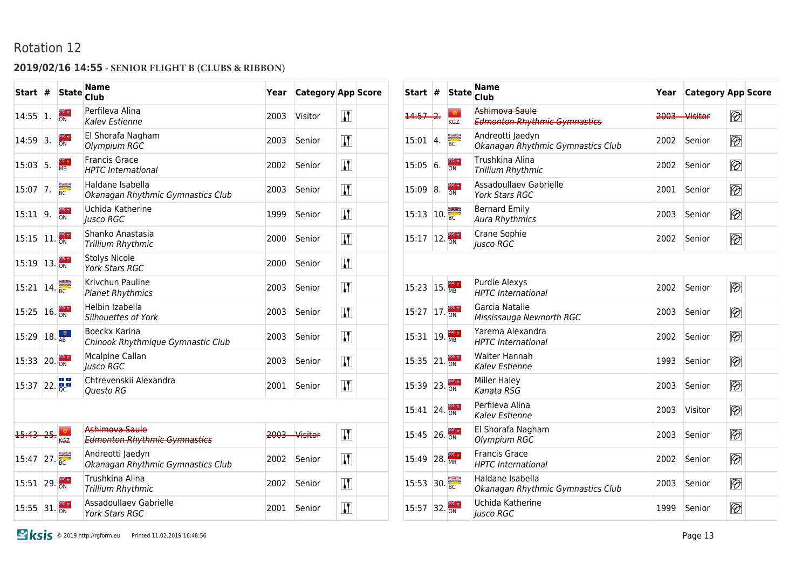#### **2019/02/16 14:55 - SENIOR FLIGHT B (CLUBS & RIBBON)**

| Start #    |          | <b>State</b>                                                                                                                                                                                                                                                                                                        | Name<br>Club                                          | Year | <b>Category App Score</b> |                         |  |
|------------|----------|---------------------------------------------------------------------------------------------------------------------------------------------------------------------------------------------------------------------------------------------------------------------------------------------------------------------|-------------------------------------------------------|------|---------------------------|-------------------------|--|
| 14:55      | 1.       | $\frac{25}{25}$                                                                                                                                                                                                                                                                                                     | Perfileva Alina<br>Kalev Estienne                     | 2003 | Visitor                   | $\mathbf{H}$            |  |
| 14:59      | 3.       | $\frac{25}{25}$                                                                                                                                                                                                                                                                                                     | El Shorafa Nagham<br>Olympium RGC                     | 2003 | Senior                    | $\mathbf{H}$            |  |
| 15:03      | 5.       | <mark>ਸ਼ੜ ਭ</mark><br>MB                                                                                                                                                                                                                                                                                            | <b>Francis Grace</b><br><b>HPTC</b> International     | 2002 | Senior                    | $\mathbf{H}$            |  |
| 15:07      | 7.       | BC                                                                                                                                                                                                                                                                                                                  | Haldane Isabella<br>Okanagan Rhythmic Gymnastics Club | 2003 | Senior                    | $\mathbf{H}$            |  |
| 15:11      | 9.       | $\frac{1}{2}$ $\frac{1}{2}$ $\frac{1}{2}$ $\frac{1}{2}$ $\frac{1}{2}$ $\frac{1}{2}$ $\frac{1}{2}$ $\frac{1}{2}$ $\frac{1}{2}$ $\frac{1}{2}$ $\frac{1}{2}$ $\frac{1}{2}$ $\frac{1}{2}$ $\frac{1}{2}$ $\frac{1}{2}$ $\frac{1}{2}$ $\frac{1}{2}$ $\frac{1}{2}$ $\frac{1}{2}$ $\frac{1}{2}$ $\frac{1}{2}$ $\frac{1}{2}$ | Uchida Katherine<br>Jusco RGC                         | 1999 | Senior                    | $\overline{\mathbf{H}}$ |  |
| 15:15      |          | 11.5                                                                                                                                                                                                                                                                                                                | Shanko Anastasia<br>Trillium Rhythmic                 | 2000 | Senior                    | $\mathbf{H}$            |  |
| 15:19      |          | 13. $\frac{13}{5}$                                                                                                                                                                                                                                                                                                  | <b>Stolys Nicole</b><br><b>York Stars RGC</b>         | 2000 | Senior                    | $\mathbf{H}$            |  |
| 15:21      |          | $14.$ $\frac{20}{BC}$                                                                                                                                                                                                                                                                                               | Krivchun Pauline<br><b>Planet Rhythmics</b>           | 2003 | Senior                    | $\mathbf{H}$            |  |
| 15:25      |          | 16. $\frac{25}{5}$                                                                                                                                                                                                                                                                                                  | Helbin Izabella<br>Silhouettes of York                | 2003 | Senior                    | $\mathbf{H}$            |  |
| 15:29      |          | $18. \frac{3}{AB}$                                                                                                                                                                                                                                                                                                  | Boeckx Karina<br>Chinook Rhythmique Gymnastic Club    | 2003 | Senior                    | $\mathbf{H}$            |  |
| 15:33      |          | 20. $\frac{125}{10}$                                                                                                                                                                                                                                                                                                | <b>Mcalpine Callan</b><br>Jusco RGC                   | 2003 | Senior                    | $\overline{\mathbf{H}}$ |  |
| 15:37      |          | $22. \frac{1}{\sqrt[3]{c}}$                                                                                                                                                                                                                                                                                         | Chtrevenskii Alexandra<br><b>Questo RG</b>            | 2001 | Senior                    | $\mathbf{H}$            |  |
|            |          |                                                                                                                                                                                                                                                                                                                     |                                                       |      |                           |                         |  |
| $15:43$ 25 |          | KGZ                                                                                                                                                                                                                                                                                                                 | Ashimova Saule<br><b>Edmonton Rhythmic Gymnastics</b> | 2003 | Wisitor                   | $\mathbf{H}$            |  |
| 15:47      |          | 27.5c                                                                                                                                                                                                                                                                                                               | Andreotti Jaedyn<br>Okanagan Rhythmic Gymnastics Club | 2002 | Senior                    | $\mathbf{H}$            |  |
| 15:51      |          | 29. $\frac{25}{50}$                                                                                                                                                                                                                                                                                                 | Trushkina Alina<br>Trillium Rhythmic                  | 2002 | Senior                    | $\overline{\mathbf{H}}$ |  |
| 15:55      | $31.$ ON |                                                                                                                                                                                                                                                                                                                     | Assadoullaev Gabrielle<br><b>York Stars RGC</b>       | 2001 | Senior                    | $\overline{\mathbf{H}}$ |  |

| Start #     |       | <b>State</b>                                                                                                                                                                                                                                                                                                        | <b>Name</b><br>Club                                   | Year | <b>Category App Score</b> |                          |  |
|-------------|-------|---------------------------------------------------------------------------------------------------------------------------------------------------------------------------------------------------------------------------------------------------------------------------------------------------------------------|-------------------------------------------------------|------|---------------------------|--------------------------|--|
| $+4.57 +2.$ |       | $\circ$<br><b>KGZ</b>                                                                                                                                                                                                                                                                                               | Ashimova Saule<br><b>Edmonton Rhythmic Gymnastics</b> | 2003 | <b>Wisiter</b>            | $\overline{\mathscr{D}}$ |  |
| $15:01$ 4.  |       | BC <sub>3</sub>                                                                                                                                                                                                                                                                                                     | Andreotti Jaedyn<br>Okanagan Rhythmic Gymnastics Club | 2002 | Senior                    | $\overline{\mathscr{D}}$ |  |
| 15:05       | 6.    | ≍¥,<br><b>ON</b>                                                                                                                                                                                                                                                                                                    | Trushkina Alina<br>Trillium Rhythmic                  | 2002 | Senior                    | $\overline{\mathscr{D}}$ |  |
| 15:09       | 8.    | $\frac{1}{2}$ $\frac{1}{2}$ $\frac{1}{2}$ $\frac{1}{2}$ $\frac{1}{2}$ $\frac{1}{2}$ $\frac{1}{2}$ $\frac{1}{2}$ $\frac{1}{2}$ $\frac{1}{2}$ $\frac{1}{2}$ $\frac{1}{2}$ $\frac{1}{2}$ $\frac{1}{2}$ $\frac{1}{2}$ $\frac{1}{2}$ $\frac{1}{2}$ $\frac{1}{2}$ $\frac{1}{2}$ $\frac{1}{2}$ $\frac{1}{2}$ $\frac{1}{2}$ | Assadoullaev Gabrielle<br>York Stars RGC              | 2001 | Senior                    | $\overline{\mathscr{D}}$ |  |
| 15:13       |       | 10.5                                                                                                                                                                                                                                                                                                                | <b>Bernard Emily</b><br><b>Aura Rhythmics</b>         | 2003 | Senior                    | $\overline{\mathscr{D}}$ |  |
| 15:17       |       | 12. $\frac{34}{5}$                                                                                                                                                                                                                                                                                                  | Crane Sophie<br><b>Jusco RGC</b>                      | 2002 | Senior                    | $\overline{\mathscr{D}}$ |  |
|             |       |                                                                                                                                                                                                                                                                                                                     |                                                       |      |                           |                          |  |
| 15:23       |       | $15.$ MB                                                                                                                                                                                                                                                                                                            | Purdie Alexys<br><b>HPTC</b> International            | 2002 | Senior                    | $\overline{\mathscr{D}}$ |  |
| 15:27       |       | 17. $\frac{25}{5}$                                                                                                                                                                                                                                                                                                  | Garcia Natalie<br>Mississauga Newnorth RGC            | 2003 | Senior                    | $\overline{\mathscr{D}}$ |  |
| 15:31       |       | $19.$ MB                                                                                                                                                                                                                                                                                                            | Yarema Alexandra<br><b>HPTC</b> International         | 2002 | Senior                    | $\overline{\mathscr{D}}$ |  |
| 15:35       |       | 21. $\frac{125}{50}$                                                                                                                                                                                                                                                                                                | Walter Hannah<br>Kalev Estienne                       | 1993 | Senior                    | $\overline{\mathscr{D}}$ |  |
| 15:39       |       | 23. $\frac{125}{50}$                                                                                                                                                                                                                                                                                                | Miller Haley<br>Kanata RSG                            | 2003 | Senior                    | $\overline{\mathscr{D}}$ |  |
| 15:41       |       | 24. $\frac{125}{20}$                                                                                                                                                                                                                                                                                                | Perfileva Alina<br>Kalev Estienne                     | 2003 | Visitor                   | $\overline{\mathscr{D}}$ |  |
| 15:45       |       | 26. $\frac{125}{20}$                                                                                                                                                                                                                                                                                                | El Shorafa Nagham<br>Olympium RGC                     | 2003 | Senior                    | $\overline{\mathscr{D}}$ |  |
| 15:49       |       | 28. $MB$                                                                                                                                                                                                                                                                                                            | <b>Francis Grace</b><br><b>HPTC</b> International     | 2002 | Senior                    | $\overline{\mathscr{D}}$ |  |
| 15:53       |       | 30.5 <sup>2</sup>                                                                                                                                                                                                                                                                                                   | Haldane Isabella<br>Okanagan Rhythmic Gymnastics Club | 2003 | Senior                    | $\overline{\mathscr{D}}$ |  |
| 15:57       | 32.5N |                                                                                                                                                                                                                                                                                                                     | Uchida Katherine<br>Jusco RGC                         | 1999 | Senior                    | $\overline{\mathscr{D}}$ |  |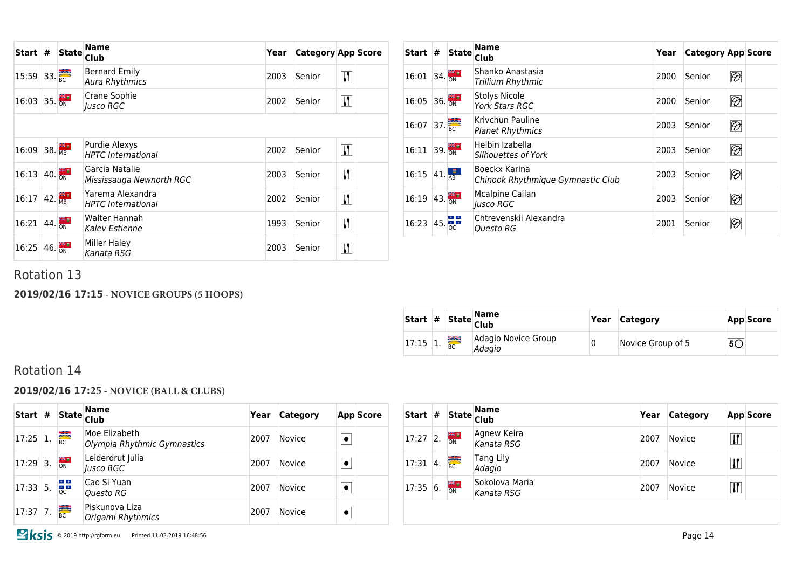| Start | # | <b>State</b>                                | <b>Name</b><br>Club                           | Year | <b>Category App Score</b> |                                               | St |
|-------|---|---------------------------------------------|-----------------------------------------------|------|---------------------------|-----------------------------------------------|----|
| 15:59 |   | 33.                                         | <b>Bernard Emily</b><br><b>Aura Rhythmics</b> | 2003 | Senior                    | $\vert \bm{\Pi} \vert$                        | 16 |
| 16:03 |   | 35. $\frac{25}{20}$                         | Crane Sophie<br>Jusco RGC                     | 2002 | Senior                    | $\overline{\mathbf{H}}$                       | 16 |
|       |   |                                             |                                               |      |                           |                                               | 16 |
| 16:09 |   | 38. MB                                      | Purdie Alexys<br><b>HPTC</b> International    | 2002 | Senior                    | $\vert \bm{\Pi} \vert$                        | 16 |
| 16:13 |   | 40.5                                        | Garcia Natalie<br>Mississauga Newnorth RGC    | 2003 | Senior                    | $\vert \bm{\Pi} \vert$                        | 16 |
| 16:17 |   | 42. $MB$                                    | Yarema Alexandra<br><b>HPTC</b> International | 2002 | Senior                    | $\boxed{\cdot}$                               | 16 |
| 16:21 |   | 44. $\frac{25}{5}$                          | Walter Hannah<br>Kalev Estienne               | 1993 | Senior                    | $\boxed{\cdot}$                               | 16 |
| 16:25 |   | $ 46.$ <sup><math>\frac{22}{5}</math></sup> | Miller Haley<br>Kanata RSG                    | 2003 | Senior                    | $\vert \bm{\mathsf{I}} \bm{\mathsf{I}} \vert$ |    |

| Start | #   | <b>State</b>               | <b>Name</b><br>Club                                | Year | <b>Category App Score</b> |                          |  |
|-------|-----|----------------------------|----------------------------------------------------|------|---------------------------|--------------------------|--|
| 16:01 |     | $ 34.1^{\frac{9}{60}}$     | Shanko Anastasia<br>Trillium Rhythmic              | 2000 | Senior                    | $\overline{\mathscr{D}}$ |  |
| 16:05 |     | 36. $\frac{125}{50}$       | Stolys Nicole<br><b>York Stars RGC</b>             | 2000 | Senior                    | $\overline{\mathscr{D}}$ |  |
| 16:07 |     | 37.                        | Krivchun Pauline<br><b>Planet Rhythmics</b>        | 2003 | Senior                    | $\overline{\mathscr{D}}$ |  |
| 16:11 |     | 39. <b>24 W</b>            | Helbin Izabella<br>Silhouettes of York             | 2003 | Senior                    | $\overline{\mathscr{D}}$ |  |
| 16:15 |     | 41. $\frac{1}{AB}$         | Boeckx Karina<br>Chinook Rhythmique Gymnastic Club | 2003 | Senior                    | $\overline{\mathscr{D}}$ |  |
| 16:19 |     | 43. $\frac{12}{5}$         | Mcalpine Callan<br>Jusco RGC                       | 2003 | Senior                    | $\overline{\mathscr{D}}$ |  |
| 16:23 | 45. | $4 - 4$<br>$\overline{OC}$ | Chtrevenskii Alexandra<br>Ouesto RG                | 2001 | Senior                    |                          |  |

#### **2019/02/16 17:15 - NOVICE GROUPS (5 HOOPS)**

|            |  | Start # State Name            | Year | <b>Category</b>   |                | <b>App Score</b> |
|------------|--|-------------------------------|------|-------------------|----------------|------------------|
| $17:15$ 1. |  | Adagio Novice Group<br>Adagio |      | Novice Group of 5 | 5 <sup>o</sup> |                  |

# Rotation 14

#### **2019/02/16 17:25 - NOVICE (BALL & CLUBS)**

| Start # |     | <b>State</b>                                                                                  | <b>Name</b><br><b>Club</b>                   | Year | Category |           | <b>App Score</b> |
|---------|-----|-----------------------------------------------------------------------------------------------|----------------------------------------------|------|----------|-----------|------------------|
| 17:25   |     | $rac{1}{BC}$                                                                                  | Moe Elizabeth<br>Olympia Rhythmic Gymnastics | 2007 | Novice   | $\bullet$ |                  |
| 17:29   | 13. | $\frac{1}{100}$                                                                               | Leiderdrut Julia<br>Jusco RGC                | 2007 | Novice   | $\bullet$ |                  |
| 17:33   | 15. | $\begin{array}{c}\n\blacksquare \\ \blacksquare \\ \blacksquare \\ \blacksquare\n\end{array}$ | Cao Si Yuan<br>Questo RG                     | 2007 | Novice   | $\bullet$ |                  |
| 17:37   |     | $rac{1}{BC}$                                                                                  | Piskunova Liza<br>Origami Rhythmics          | 2007 | Novice   | $\bullet$ |                  |

| Start | #                | <b>State</b>            | <b>Name</b><br><b>Club</b>   | Year | Category | <b>App</b> Score          |
|-------|------------------|-------------------------|------------------------------|------|----------|---------------------------|
| 17:27 | $\overline{2}$ . | as A<br>ON              | Agnew Keira<br>Kanata RSG    | 2007 | Novice   | $\mathbf{l}$              |
| 17:31 | 4.               | $rac{1}{BC}$            | Tang Lily<br>Adagio          | 2007 | Novice   | $\boldsymbol{\mathsf{N}}$ |
| 17:35 | <sup>6.</sup>    | as 4<br>$\overline{ON}$ | Sokolova Maria<br>Kanata RSG | 2007 | Novice   | $\boldsymbol{\mathsf{N}}$ |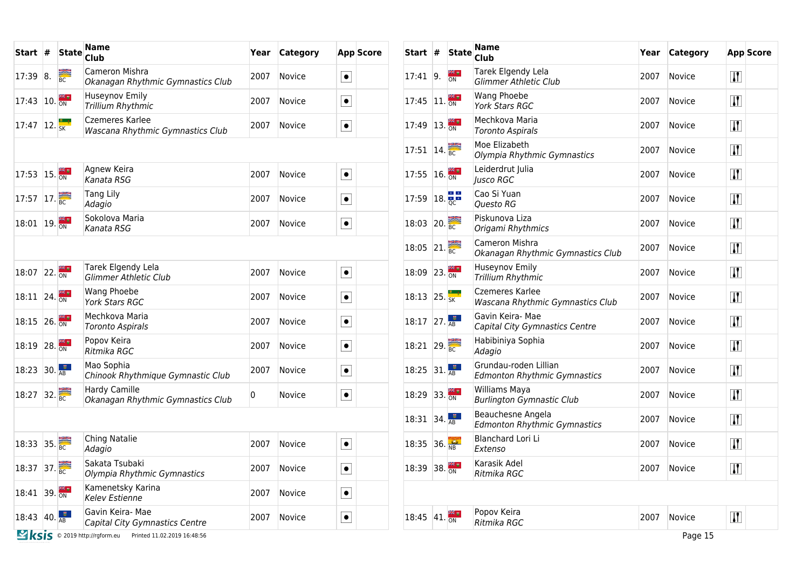| Start # State              |          | <b>Name</b><br><b>Club</b>                                     | Year | Category |           | <b>App Score</b> | Start # State              |                                 | Name<br><b>Club</b>                                          | Year | Category |
|----------------------------|----------|----------------------------------------------------------------|------|----------|-----------|------------------|----------------------------|---------------------------------|--------------------------------------------------------------|------|----------|
| $17:39$ 8.                 | BC<br>BC | Cameron Mishra<br>Okanagan Rhythmic Gymnastics Club            | 2007 | Novice   | $\bullet$ |                  | $17:41$ 9.                 | $\frac{1}{2}$ and $\frac{1}{2}$ | Tarek Elgendy Lela<br>Glimmer Athletic Club                  | 2007 | Novice   |
| 17:43 10. $\frac{17}{20}$  |          | Huseynov Emily<br>Trillium Rhythmic                            | 2007 | Novice   | $\bullet$ |                  | 17:45 11. $\frac{32}{5}$   |                                 | Wang Phoebe<br>York Stars RGC                                | 2007 | Novice   |
| 17:47 12.                  |          | <b>Czemeres Karlee</b><br>Wascana Rhythmic Gymnastics Club     | 2007 | Novice   | $\bullet$ |                  | 17:49 13.                  |                                 | Mechkova Maria<br><b>Toronto Aspirals</b>                    | 2007 | Novice   |
|                            |          |                                                                |      |          |           |                  | $17:51$ 14.                |                                 | Moe Elizabeth<br>Olympia Rhythmic Gymnastics                 | 2007 | Novice   |
| 17:53 15.                  |          | Agnew Keira<br>Kanata RSG                                      | 2007 | Novice   | $\bullet$ |                  | $17:55$ 16. $\frac{34}{5}$ |                                 | Leiderdrut Julia<br>Jusco RGC                                | 2007 | Novice   |
| $17:57$ 17.                |          | <b>Tang Lily</b><br>Adagio                                     | 2007 | Novice   | $\bullet$ |                  | $17:59$ $18.\overline{80}$ |                                 | Cao Si Yuan<br>Questo RG                                     | 2007 | Novice   |
| $18:01$ 19. $\frac{12}{5}$ |          | Sokolova Maria<br>Kanata RSG                                   | 2007 | Novice   | $\bullet$ |                  | 18:03 20.                  |                                 | Piskunova Liza<br>Origami Rhythmics                          | 2007 | Novice   |
|                            |          |                                                                |      |          |           |                  | 18:05 21.                  |                                 | Cameron Mishra<br>Okanagan Rhythmic Gymnastics Club          | 2007 | Novice   |
| 18:07 22.                  |          | Tarek Elgendy Lela<br><b>Glimmer Athletic Club</b>             | 2007 | Novice   | $\bullet$ |                  | 18:09 23.                  |                                 | Huseynov Emily<br>Trillium Rhythmic                          | 2007 | Novice   |
| $18:11$ 24.                |          | Wang Phoebe<br>York Stars RGC                                  | 2007 | Novice   | $\bullet$ |                  | 18:13 25.                  |                                 | <b>Czemeres Karlee</b><br>Wascana Rhythmic Gymnastics Club   | 2007 | Novice   |
| $18:15$ 26.                |          | Mechkova Maria<br><b>Toronto Aspirals</b>                      | 2007 | Novice   | $\bullet$ |                  | $18:17$ 27. $\frac{1}{AB}$ |                                 | Gavin Keira- Mae<br>Capital City Gymnastics Centre           | 2007 | Novice   |
| $18:19$ 28. $\frac{14}{5}$ |          | Popov Keira<br>Ritmika RGC                                     | 2007 | Novice   | $\bullet$ |                  | 18:21 29.                  |                                 | Habibiniya Sophia<br>Adagio                                  | 2007 | Novice   |
| 18:23 30. $\frac{1}{AB}$   |          | Mao Sophia<br>Chinook Rhythmique Gymnastic Club                | 2007 | Novice   | $\bullet$ |                  | 18:25 31.                  |                                 | Grundau-roden Lillian<br><b>Edmonton Rhythmic Gymnastics</b> | 2007 | Novice   |
| 18:27 32.                  |          | <b>Hardy Camille</b><br>Okanagan Rhythmic Gymnastics Club      | 0    | Novice   | $\bullet$ |                  | 18:29 33.                  |                                 | <b>Williams Maya</b><br><b>Burlington Gymnastic Club</b>     | 2007 | Novice   |
|                            |          |                                                                |      |          |           |                  | 18:31 34.                  |                                 | Beauchesne Angela<br><b>Edmonton Rhythmic Gymnastics</b>     | 2007 | Novice   |
| 18:33 35.                  |          | Ching Natalie<br>Adagio                                        | 2007 | Novice   | $\bullet$ |                  | 18:35 36.                  |                                 | Blanchard Lori Li<br>Extenso                                 | 2007 | Novice   |
| 18:37 37.                  |          | Sakata Tsubaki<br>Olympia Rhythmic Gymnastics                  | 2007 | Novice   | $\bullet$ |                  | 18:39 38.                  |                                 | Karasik Adel<br>Ritmika RGC                                  | 2007 | Novice   |
| $18:41$ 39.                |          | Kamenetsky Karina<br><b>Kelev Estienne</b>                     | 2007 | Novice   | $\bullet$ |                  |                            |                                 |                                                              |      |          |
| $18:43$ 40.                |          | Gavin Keira- Mae<br>Capital City Gymnastics Centre             | 2007 | Novice   | $\bullet$ |                  | 18:45 41.                  |                                 | Popov Keira<br>Ritmika RGC                                   | 2007 | Novice   |
|                            |          | <b>Sis</b> @ 2019 http://rgform.eu Printed 11.02.2019 16:48:56 |      |          |           |                  |                            |                                 |                                                              |      | Page 15  |

| Start | #                  | <b>State</b>           | Name<br>Club                                                 | Year | Category | <b>App Score</b>       |
|-------|--------------------|------------------------|--------------------------------------------------------------|------|----------|------------------------|
| 17:41 | 9.                 | <br>$\overline{ON}$    | Tarek Elgendy Lela<br>Glimmer Athletic Club                  | 2007 | Novice   | $\vert \bm{\Pi} \vert$ |
| 17:45 |                    | $11.$ $\frac{94}{5}$ W | Wang Phoebe<br><b>York Stars RGC</b>                         | 2007 | Novice   | $\mathbf{I}$           |
| 17:49 |                    | 13. $\frac{13}{5}$     | Mechkova Maria<br><b>Toronto Aspirals</b>                    | 2007 | Novice   | $\mathbf{H}$           |
| 17:51 |                    | 14.                    | Moe Elizabeth<br>Olympia Rhythmic Gymnastics                 | 2007 | Novice   | $\vert \bm{\Pi} \vert$ |
| 17:55 |                    | $16.5^{\frac{22}{15}}$ | Leiderdrut Julia<br>Jusco RGC                                | 2007 | Novice   | $\vert \bm{\Pi} \vert$ |
| 17:59 |                    | 18.                    | Cao Si Yuan<br>Questo RG                                     | 2007 | Novice   | $\mathbf{H}$           |
| 18:03 |                    | 20.5                   | Piskunova Liza<br>Origami Rhythmics                          | 2007 | Novice   | $\vert \vert \vert$    |
| 18:05 |                    | 21.5c                  | Cameron Mishra<br>Okanagan Rhythmic Gymnastics Club          | 2007 | Novice   | $\mathbf{H}$           |
| 18:09 |                    | 23. $\frac{1}{ON}$     | Huseynov Emily<br>Trillium Rhythmic                          | 2007 | Novice   | $\vert \bm{\Pi} \vert$ |
| 18:13 |                    | 25.5K                  | Czemeres Karlee<br>Wascana Rhythmic Gymnastics Club          | 2007 | Novice   | $\vert \bm{\Pi} \vert$ |
| 18:17 | 27. $\frac{4}{AB}$ |                        | Gavin Keira- Mae<br>Capital City Gymnastics Centre           | 2007 | Novice   | $\mathbf{H}$           |
| 18:21 |                    | 29.5c                  | Habibiniya Sophia<br>Adagio                                  | 2007 | Novice   | $\vert \bm{\Pi} \vert$ |
| 18:25 |                    | $31. \frac{3}{AB}$     | Grundau-roden Lillian<br><b>Edmonton Rhythmic Gymnastics</b> | 2007 | Novice   | $\vert \bm{\Pi} \vert$ |
| 18:29 |                    | 33. $\frac{125}{ON}$   | Williams Maya<br><b>Burlington Gymnastic Club</b>            | 2007 | Novice   | $\vert \bm{\Pi} \vert$ |
| 18:31 |                    | 34. $AB$               | Beauchesne Angela<br><b>Edmonton Rhythmic Gymnastics</b>     | 2007 | Novice   | $\mathbf{H}$           |
| 18:35 |                    | $36. \frac{C}{NB}$     | Blanchard Lori Li<br>Extenso                                 | 2007 | Novice   | $\vert \bm{\Pi} \vert$ |
| 18:39 |                    | 38. $\frac{12}{5}$     | Karasik Adel<br>Ritmika RGC                                  | 2007 | Novice   | $\overline{M}$         |
|       |                    |                        |                                                              |      |          |                        |
| 18:45 | 41.5 <sub>ON</sub> |                        | Popov Keira<br>Ritmika RGC                                   | 2007 | Novice   | $\overline{M}$         |
|       |                    |                        |                                                              |      |          |                        |